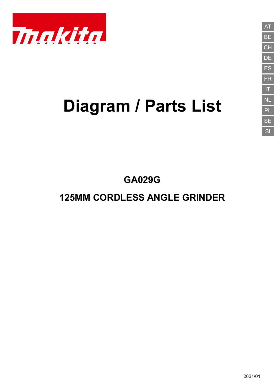

# **Diagram / Parts List**

**GA029G**

# **125MM CORDLESS ANGLE GRINDER**

**CH** DE ES FR IT NL PL SE SI

AT

BE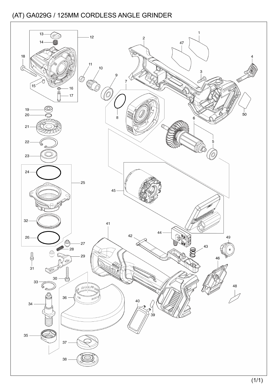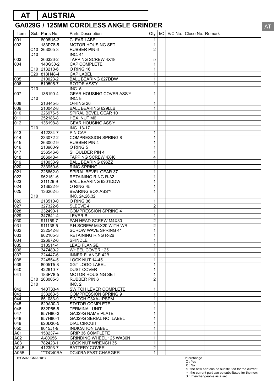# **AT AUSTRIA**

# **GA029G / 125MM CORDLESS ANGLE GRINDER**

| Item                    |                 | Sub   Parts No.                      | Parts Description                           | Qty                          | $I/C$ E/C No. | Close No. Remark               |                                                                                                                                             |
|-------------------------|-----------------|--------------------------------------|---------------------------------------------|------------------------------|---------------|--------------------------------|---------------------------------------------------------------------------------------------------------------------------------------------|
| 001                     |                 | 8008U5-3                             | <b>CLEAR LABEL</b>                          | 1                            |               |                                |                                                                                                                                             |
| 002                     |                 | 183P78-5                             | <b>MOTOR HOUSING SET</b>                    | $\mathbf{1}$                 |               |                                |                                                                                                                                             |
|                         | C <sub>10</sub> | 263005-3                             | <b>RUBBER PIN 6</b>                         | $\overline{c}$               |               |                                |                                                                                                                                             |
|                         | D <sub>10</sub> |                                      | <b>INC. 41</b>                              |                              |               |                                |                                                                                                                                             |
| 003                     |                 | 266326-2                             | TAPPING SCREW 4X18                          | 5                            |               |                                |                                                                                                                                             |
| 004                     |                 | 140G30-2<br>C <sub>10</sub> 213218-6 | CAP COMPLETE<br>O RING 16                   | $\mathbf{1}$                 |               |                                |                                                                                                                                             |
|                         |                 | C20 818H48-4                         | <b>CAP LABEL</b>                            | $\mathbf{1}$<br>$\mathbf{1}$ |               |                                |                                                                                                                                             |
| 005                     |                 | 210023-2                             | <b>BALL BEARING 627DDW</b>                  | $\mathbf{1}$                 |               |                                |                                                                                                                                             |
| 006                     |                 | 519595-7                             | <b>ROTOR ASS'Y</b>                          | $\mathbf{1}$                 |               |                                |                                                                                                                                             |
|                         | D <sub>10</sub> |                                      | <b>INC. 5</b>                               |                              |               |                                |                                                                                                                                             |
| 007                     |                 | 136190-4                             | GEAR HOUSING COVER ASS'Y                    | $\mathbf{1}$                 |               |                                |                                                                                                                                             |
|                         | D <sub>10</sub> |                                      | INC. 8                                      |                              |               |                                |                                                                                                                                             |
| 008                     |                 | 213445-5                             | O-RING 26                                   | $\mathbf{1}$                 |               |                                |                                                                                                                                             |
| 009                     |                 | 210042-8                             | <b>BALL BEARING 629LLB</b>                  | $\mathbf{1}$                 |               |                                |                                                                                                                                             |
| 010                     |                 | 226976-5                             | SPIRAL BEVEL GEAR 10                        | 1                            |               |                                |                                                                                                                                             |
| 011                     |                 | 252186-8                             | HEX. NUT M6                                 | $\mathbf{1}$                 |               |                                |                                                                                                                                             |
| $\overline{012}$        | D <sub>10</sub> | 136198-8                             | <b>GEAR HOUSING ASS'Y</b><br>INC. 13-17     | $\mathbf{1}$                 |               |                                |                                                                                                                                             |
| 013                     |                 | 412234-7                             | PIN CAP                                     | 1                            |               |                                |                                                                                                                                             |
| 014                     |                 | 233072-2                             | <b>COMPRESSION SPRING 8</b>                 | $\mathbf{1}$                 |               |                                |                                                                                                                                             |
| 015                     |                 | 263002-9                             | <b>RUBBER PIN 4</b>                         | $\mathbf{1}$                 |               |                                |                                                                                                                                             |
| 016                     |                 | 213960-9                             | O RING 5                                    | $\mathbf{1}$                 |               |                                |                                                                                                                                             |
| 017                     |                 | 256546-6                             | SHOULDER PIN 4                              | $\mathbf{1}$                 |               |                                |                                                                                                                                             |
| 018                     |                 | 266048-4                             | <b>TAPPING SCREW 4X40</b>                   | 4                            |               |                                |                                                                                                                                             |
| 019                     |                 | 210033-9                             | <b>BALL BEARING 696ZZ</b>                   | $\mathbf{1}$                 |               |                                |                                                                                                                                             |
| 020                     |                 | 233950-6                             | RING SPRING 11                              | $\mathbf{1}$                 |               |                                |                                                                                                                                             |
| 021                     |                 | 226862-0                             | SPIRAL BEVEL GEAR 37                        | $\mathbf{1}$                 |               |                                |                                                                                                                                             |
| 022                     |                 | 962151-6                             | <b>RETAINING RING R-32</b>                  | $\mathbf{1}$                 |               |                                |                                                                                                                                             |
| 023                     |                 | 211129-9                             | <b>BALL BEARING 6201DDW</b>                 | $\mathbf{1}$                 |               |                                |                                                                                                                                             |
| 024<br>$\overline{025}$ |                 | 213622-9<br>136262-5                 | O RING 45<br><b>BEARING BOX ASS'Y</b>       | $\mathbf{1}$<br>$\mathbf{1}$ |               |                                |                                                                                                                                             |
|                         | D <sub>10</sub> |                                      | INC. 24,26,32                               |                              |               |                                |                                                                                                                                             |
| 026                     |                 | 213510-0                             | O RING 36                                   | $\mathbf{1}$                 |               |                                |                                                                                                                                             |
| 027                     |                 | 327322-6                             | <b>SLEEVE 4</b>                             | $\overline{c}$               |               |                                |                                                                                                                                             |
| 028                     |                 | 232490-1                             | <b>COMPRESSION SPRING 4</b>                 | $\mathbf{1}$                 |               |                                |                                                                                                                                             |
| 029                     |                 | 347641-4                             | LEVER B                                     | $\mathbf{1}$                 |               |                                |                                                                                                                                             |
| 030                     |                 | 911159-7                             | PAN HEAD SCREW M4X30                        | $\overline{2}$               |               |                                |                                                                                                                                             |
| 031                     |                 | 911138-5                             | P.H.SCREW M4X20 WITH WR                     | $\overline{c}$               |               |                                |                                                                                                                                             |
| 032                     |                 | 232542-8                             | <b>SCROW WAVE SPRING 41</b>                 | 1                            |               |                                |                                                                                                                                             |
| 033                     |                 | 962105-3                             | <b>RETAINING RING R-26</b>                  | $\mathbf{1}$                 |               |                                |                                                                                                                                             |
| 034                     |                 | 326672-6                             | <b>SPINDLE</b>                              | 1                            |               |                                |                                                                                                                                             |
| 035                     |                 | 310514-4<br>347480-2                 | <b>LEAD FLANGE</b><br>WHEEL COVER 125       | $\mathbf{1}$<br>$\mathbf{1}$ |               |                                |                                                                                                                                             |
| 036<br>037              |                 | 224447-6                             | <b>INNER FLANGE 42B</b>                     | $\mathbf{1}$                 |               |                                |                                                                                                                                             |
| 038                     |                 | 224554-5                             | LOCK NUT 14-45                              | $\mathbf{1}$                 |               |                                |                                                                                                                                             |
| 039                     |                 | 8005T5-8                             | <b>XGT LOGO LABEL</b>                       | $\mathbf{1}$                 |               |                                |                                                                                                                                             |
| 040                     |                 | 422610-7                             | <b>DUST COVER</b>                           | $\mathbf{1}$                 |               |                                |                                                                                                                                             |
| 041                     |                 | 183P78-5                             | <b>MOTOR HOUSING SET</b>                    | $\mathbf{1}$                 |               |                                |                                                                                                                                             |
|                         | C10             | 263005-3                             | <b>RUBBER PIN 6</b>                         | $\overline{2}$               |               |                                |                                                                                                                                             |
|                         | D <sub>10</sub> |                                      | INC. 2                                      |                              |               |                                |                                                                                                                                             |
| 042                     |                 | 140T33-4                             | SWITCH LEVER COMPLETE                       | $\mathbf{1}$                 |               |                                |                                                                                                                                             |
| 043                     |                 | 233263-5                             | <b>COMPRESSION SPRING 9</b>                 | $\mathbf{1}$                 |               |                                |                                                                                                                                             |
| 044<br>045              |                 | 651083-9<br>629A00-3                 | SWITCH C3XA-1PSPM<br><b>STATOR COMPLETE</b> | $\mathbf{1}$<br>$\mathbf{1}$ |               |                                |                                                                                                                                             |
| 046                     |                 | 632P65-6                             | <b>TERMINAL UNIT</b>                        | $\mathbf{1}$                 |               |                                |                                                                                                                                             |
| 047                     |                 | 857H80-3                             | GA029G NAME PLATE                           | $\mathbf{1}$                 |               |                                |                                                                                                                                             |
| 048                     |                 | 857H86-1                             | GA029G SERIAL NO. LABEL                     | $\mathbf{1}$                 |               |                                |                                                                                                                                             |
| 049                     |                 | 620D30-5                             | <b>DIAL CIRCUIT</b>                         | $\mathbf{1}$                 |               |                                |                                                                                                                                             |
| 050                     |                 | 8015J1-9                             | <b>INDICATION LABEL</b>                     | $\mathbf{1}$                 |               |                                |                                                                                                                                             |
| A01                     |                 | 158237-4                             | <b>GRIP 36 COMPLETE</b>                     | $\mathbf{1}$                 |               |                                |                                                                                                                                             |
| A02                     |                 | A-80656                              | GRINDING WHEEL 125 WA36N                    | $\mathbf{1}$                 |               |                                |                                                                                                                                             |
| A03                     |                 | 782423-1                             | <b>LOCK NUT WRENCH 35</b>                   | $\mathbf{1}$                 |               |                                |                                                                                                                                             |
| A04B                    |                 | 412393-7                             | <b>BATTERY COVER</b>                        | 2                            |               |                                |                                                                                                                                             |
| A05B                    |                 | ***DC40RA                            | DC40RA FAST CHARGER                         | $\mathbf{1}$                 |               |                                |                                                                                                                                             |
| B:GA029GM201(H)         |                 |                                      |                                             |                              |               | Interchange<br>O: Yes<br>X: No | <: the new part can be substituted for the current.<br>>: the current part can be substituted for the new.<br>S : Interchangeable as a set. |

AT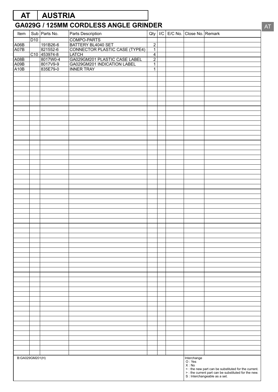# D<sub>10</sub> COMPO-PARTS A06B 191B26-6 BATTERY BL4040 SET 2 A07B 821552-6 CONNECTOR PLASTIC CASE (TYPE4) 1<br>C10 453974-8 LATCH 4 C10 453974-8 LATCH 4<br>8017W0-4 GA029GM201 PLASTIC CASE LABEL 2 A08B 8017W0-4 GA029GM201 PLASTIC CASE LABEL<br>A09B 8017V9-9 GA029GM201 INDICATION LABEL A09B 8017V9-9 GA029GM201 INDICATION LABEL 1 A10B 835E79-0 INNER TRAY 1 **GA029G / 125MM CORDLESS ANGLE GRINDER** Item  $\vert$  Sub Parts No. Parts Description  $\vert$  Qty  $\vert$  I/C  $\vert$  E/C No. Close No. Remark **AT AUSTRIA** Interchange O : Yes X : No < : the new part can be substituted for the current. > : the current part can be substituted for the new. S : Interchangeable as a set. B:GA029GM201(H)

AT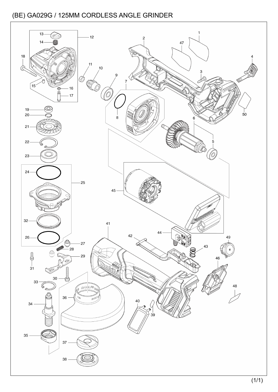![](_page_4_Figure_1.jpeg)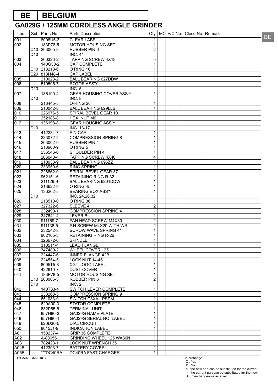# **BE BELGIUM**

| Item             |                 | Sub   Parts No.          | Parts Description               | Qty            | I/C | E/C No.   Close No.   Remark |                                                                                       | <b>BE</b> |
|------------------|-----------------|--------------------------|---------------------------------|----------------|-----|------------------------------|---------------------------------------------------------------------------------------|-----------|
| 001              |                 | 8008U5-3                 | <b>CLEAR LABEL</b>              | 1              |     |                              |                                                                                       |           |
| 002              |                 | 183P78-5                 | MOTOR HOUSING SET               | 1              |     |                              |                                                                                       |           |
|                  |                 | C <sub>10</sub> 263005-3 | RUBBER PIN 6                    | $\overline{2}$ |     |                              |                                                                                       |           |
|                  | D <sub>10</sub> |                          | <b>INC. 41</b>                  |                |     |                              |                                                                                       |           |
| 003              |                 | 266326-2                 | <b>TAPPING SCREW 4X18</b>       | 5              |     |                              |                                                                                       |           |
| 004              |                 | 140G30-2                 | <b>CAP COMPLETE</b>             | 1              |     |                              |                                                                                       |           |
|                  |                 | C <sub>10</sub> 213218-6 | O RING 16                       | 1              |     |                              |                                                                                       |           |
|                  |                 | C20 818H48-4             | <b>CAP LABEL</b>                | 1              |     |                              |                                                                                       |           |
| 005              |                 | 210023-2                 | <b>BALL BEARING 627DDW</b>      | 1              |     |                              |                                                                                       |           |
| 006              |                 | 519595-7                 | <b>ROTOR ASS'Y</b>              | 1              |     |                              |                                                                                       |           |
|                  | D <sub>10</sub> |                          | <b>INC. 5</b>                   |                |     |                              |                                                                                       |           |
| 007              |                 | 136190-4                 | <b>GEAR HOUSING COVER ASS'Y</b> | 1              |     |                              |                                                                                       |           |
| 008              | D <sub>10</sub> | 213445-5                 | INC. 8<br>O-RING 26             |                |     |                              |                                                                                       |           |
| 009              |                 | 210042-8                 | <b>BALL BEARING 629LLB</b>      | 1<br>1         |     |                              |                                                                                       |           |
| 010              |                 | 226976-5                 | SPIRAL BEVEL GEAR 10            | 1              |     |                              |                                                                                       |           |
| 011              |                 | 252186-8                 | HEX. NUT M6                     | 1              |     |                              |                                                                                       |           |
| 012              |                 | 136198-8                 | <b>GEAR HOUSING ASS'Y</b>       | 1              |     |                              |                                                                                       |           |
|                  | D <sub>10</sub> |                          | <b>INC. 13-17</b>               |                |     |                              |                                                                                       |           |
| 013              |                 | 412234-7                 | <b>PIN CAP</b>                  | 1              |     |                              |                                                                                       |           |
| 014              |                 | 233072-2                 | <b>COMPRESSION SPRING 8</b>     | 1              |     |                              |                                                                                       |           |
| 015              |                 | 263002-9                 | <b>RUBBER PIN 4</b>             | 1              |     |                              |                                                                                       |           |
| 016              |                 | 213960-9                 | O RING 5                        | 1              |     |                              |                                                                                       |           |
| 017              |                 | 256546-6                 | SHOULDER PIN 4                  | 1              |     |                              |                                                                                       |           |
| 018              |                 | 266048-4                 | TAPPING SCREW 4X40              | 4              |     |                              |                                                                                       |           |
| 019              |                 | 210033-9                 | BALL BEARING 696ZZ              | 1              |     |                              |                                                                                       |           |
| 020              |                 | 233950-6                 | RING SPRING 11                  | 1              |     |                              |                                                                                       |           |
| 021              |                 | 226862-0                 | SPIRAL BEVEL GEAR 37            | 1              |     |                              |                                                                                       |           |
| $\overline{022}$ |                 | 962151-6                 | <b>RETAINING RING R-32</b>      | 1              |     |                              |                                                                                       |           |
| 023              |                 | 211129-9                 | BALL BEARING 6201DDW            | 1              |     |                              |                                                                                       |           |
| 024              |                 | 213622-9                 | O RING 45                       | 1              |     |                              |                                                                                       |           |
| 025              |                 | 136262-5                 | <b>BEARING BOX ASS'Y</b>        | 1              |     |                              |                                                                                       |           |
|                  | D <sub>10</sub> |                          | INC. 24,26,32                   |                |     |                              |                                                                                       |           |
| 026              |                 | 213510-0                 | O RING 36                       | 1              |     |                              |                                                                                       |           |
| 027              |                 | 327322-6                 | <b>SLEEVE 4</b>                 | $\overline{2}$ |     |                              |                                                                                       |           |
| 028              |                 | 232490-1                 | <b>COMPRESSION SPRING 4</b>     | 1              |     |                              |                                                                                       |           |
| 029              |                 | 347641-4                 | <b>LEVER B</b>                  | 1              |     |                              |                                                                                       |           |
| 030              |                 | 911159-7                 | PAN HEAD SCREW M4X30            | 2              |     |                              |                                                                                       |           |
| 031              |                 | 911138-5                 | P.H.SCREW M4X20 WITH WR         | $\overline{2}$ |     |                              |                                                                                       |           |
| 032              |                 | 232542-8                 | <b>SCROW WAVE SPRING 41</b>     | 1              |     |                              |                                                                                       |           |
| 033              |                 | 962105-3                 | <b>RETAINING RING R-26</b>      | 1              |     |                              |                                                                                       |           |
| 034              |                 | 326672-6                 | <b>SPINDLE</b>                  | 1              |     |                              |                                                                                       |           |
| 035              |                 | 310514-4                 | <b>LEAD FLANGE</b>              | 1              |     |                              |                                                                                       |           |
| 036              |                 | 347480-2                 | WHEEL COVER 125                 | 1              |     |                              |                                                                                       |           |
| 037              |                 | 224447-6                 | <b>INNER FLANGE 42B</b>         | 1              |     |                              |                                                                                       |           |
| 038              |                 | 224554-5                 | LOCK NUT 14-45                  | 1              |     |                              |                                                                                       |           |
| 039              |                 | 8005T5-8                 | <b>XGT LOGO LABEL</b>           | 1              |     |                              |                                                                                       |           |
| 040              |                 | 422610-7                 | <b>DUST COVER</b>               | $\mathbf{1}$   |     |                              |                                                                                       |           |
| 041              |                 | 183P78-5                 | MOTOR HOUSING SET               | 1              |     |                              |                                                                                       |           |
|                  |                 | C <sub>10</sub> 263005-3 | <b>RUBBER PIN 6</b>             | $\overline{c}$ |     |                              |                                                                                       |           |
|                  | D <sub>10</sub> |                          | INC. 2                          |                |     |                              |                                                                                       |           |
| 042              |                 | 140T33-4                 | SWITCH LEVER COMPLETE           | 1              |     |                              |                                                                                       |           |
| 043              |                 | 233263-5                 | <b>COMPRESSION SPRING 9</b>     | 1              |     |                              |                                                                                       |           |
| 044              |                 | 651083-9                 | SWITCH C3XA-1PSPM               | 1              |     |                              |                                                                                       |           |
| 045              |                 | 629A00-3                 | <b>STATOR COMPLETE</b>          | 1              |     |                              |                                                                                       |           |
| 046              |                 | 632P65-6                 | <b>TERMINAL UNIT</b>            | 1              |     |                              |                                                                                       |           |
| 047              |                 | 857H80-3                 | GA029G NAME PLATE               | 1              |     |                              |                                                                                       |           |
| 048              |                 | 857H86-1                 | GA029G SERIAL NO. LABEL         | 1              |     |                              |                                                                                       |           |
| 049              |                 | 620D30-5                 | <b>DIAL CIRCUIT</b>             | 1              |     |                              |                                                                                       |           |
| 050              |                 | 8015J1-9                 | <b>INDICATION LABEL</b>         | 1              |     |                              |                                                                                       |           |
| A01              |                 | 158237-4                 | <b>GRIP 36 COMPLETE</b>         | 1              |     |                              |                                                                                       |           |
| A02              |                 | A-80656                  | GRINDING WHEEL 125 WA36N        | 1              |     |                              |                                                                                       |           |
| A03              |                 | 782423-1                 | <b>LOCK NUT WRENCH 35</b>       | 1              |     |                              |                                                                                       |           |
| A04B             |                 | 412393-7                 | <b>BATTERY COVER</b>            | $\overline{2}$ |     |                              |                                                                                       |           |
| A05B             |                 | ***DC40RA                | DC40RA FAST CHARGER             | $\mathbf{1}$   |     |                              |                                                                                       |           |
| B:GA029GM201(H)  |                 |                          |                                 |                |     | Interchange<br>O: Yes        |                                                                                       |           |
|                  |                 |                          |                                 |                |     | X: No                        |                                                                                       |           |
|                  |                 |                          |                                 |                |     |                              | <: the new part can be substituted for the current.                                   |           |
|                  |                 |                          |                                 |                |     |                              | > : the current part can be substituted for the new.<br>S : Interchangeable as a set. |           |
|                  |                 |                          |                                 |                |     |                              |                                                                                       |           |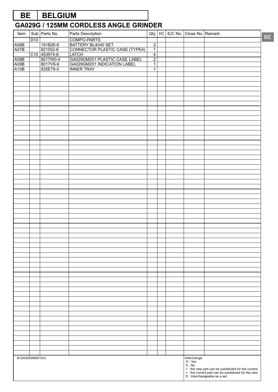# **BE BELGIUM**

| Item            |                 | Sub Parts No.        | Parts Description                                    |                                  |  |  | Qty   I/C   E/C No.   Close No.   Remark |  |    |  |
|-----------------|-----------------|----------------------|------------------------------------------------------|----------------------------------|--|--|------------------------------------------|--|----|--|
|                 | D <sub>10</sub> |                      | COMPO-PARTS                                          |                                  |  |  |                                          |  | BE |  |
| A06B            |                 | 191B26-6             | BATTERY BL4040 SET<br>CONNECTOR PLASTIC CASE (TYPE4) | $\overline{2}$                   |  |  |                                          |  |    |  |
| A07B            |                 | 821552-6             |                                                      | $\overline{1}$                   |  |  |                                          |  |    |  |
|                 |                 | C10 453974-8         | LATCH                                                | $\overline{4}$                   |  |  |                                          |  |    |  |
| A08B            |                 | 8017W0-4             | GA029GM201 PLASTIC CASE LABEL                        | $\overline{2}$                   |  |  |                                          |  |    |  |
| A09B<br>A10B    |                 | 8017V9-9<br>835E79-0 | GA029GM201 INDICATION LABEL                          | $\overline{1}$<br>$\overline{1}$ |  |  |                                          |  |    |  |
|                 |                 |                      | <b>INNER TRAY</b>                                    |                                  |  |  |                                          |  |    |  |
|                 |                 |                      |                                                      |                                  |  |  |                                          |  |    |  |
|                 |                 |                      |                                                      |                                  |  |  |                                          |  |    |  |
|                 |                 |                      |                                                      |                                  |  |  |                                          |  |    |  |
|                 |                 |                      |                                                      |                                  |  |  |                                          |  |    |  |
|                 |                 |                      |                                                      |                                  |  |  |                                          |  |    |  |
|                 |                 |                      |                                                      |                                  |  |  |                                          |  |    |  |
|                 |                 |                      |                                                      |                                  |  |  |                                          |  |    |  |
|                 |                 |                      |                                                      |                                  |  |  |                                          |  |    |  |
|                 |                 |                      |                                                      |                                  |  |  |                                          |  |    |  |
|                 |                 |                      |                                                      |                                  |  |  |                                          |  |    |  |
|                 |                 |                      |                                                      |                                  |  |  |                                          |  |    |  |
|                 |                 |                      |                                                      |                                  |  |  |                                          |  |    |  |
|                 |                 |                      |                                                      |                                  |  |  |                                          |  |    |  |
|                 |                 |                      |                                                      |                                  |  |  |                                          |  |    |  |
|                 |                 |                      |                                                      |                                  |  |  |                                          |  |    |  |
|                 |                 |                      |                                                      |                                  |  |  |                                          |  |    |  |
|                 |                 |                      |                                                      |                                  |  |  |                                          |  |    |  |
|                 |                 |                      |                                                      |                                  |  |  |                                          |  |    |  |
|                 |                 |                      |                                                      |                                  |  |  |                                          |  |    |  |
|                 |                 |                      |                                                      |                                  |  |  |                                          |  |    |  |
|                 |                 |                      |                                                      |                                  |  |  |                                          |  |    |  |
|                 |                 |                      |                                                      |                                  |  |  |                                          |  |    |  |
|                 |                 |                      |                                                      |                                  |  |  |                                          |  |    |  |
|                 |                 |                      |                                                      |                                  |  |  |                                          |  |    |  |
|                 |                 |                      |                                                      |                                  |  |  |                                          |  |    |  |
|                 |                 |                      |                                                      |                                  |  |  |                                          |  |    |  |
|                 |                 |                      |                                                      |                                  |  |  |                                          |  |    |  |
|                 |                 |                      |                                                      |                                  |  |  |                                          |  |    |  |
|                 |                 |                      |                                                      |                                  |  |  |                                          |  |    |  |
|                 |                 |                      |                                                      |                                  |  |  |                                          |  |    |  |
|                 |                 |                      |                                                      |                                  |  |  |                                          |  |    |  |
|                 |                 |                      |                                                      |                                  |  |  |                                          |  |    |  |
|                 |                 |                      |                                                      |                                  |  |  |                                          |  |    |  |
|                 |                 |                      |                                                      |                                  |  |  |                                          |  |    |  |
|                 |                 |                      |                                                      |                                  |  |  |                                          |  |    |  |
|                 |                 |                      |                                                      |                                  |  |  |                                          |  |    |  |
|                 |                 |                      |                                                      |                                  |  |  |                                          |  |    |  |
|                 |                 |                      |                                                      |                                  |  |  |                                          |  |    |  |
|                 |                 |                      |                                                      |                                  |  |  |                                          |  |    |  |
|                 |                 |                      |                                                      |                                  |  |  |                                          |  |    |  |
|                 |                 |                      |                                                      |                                  |  |  |                                          |  |    |  |
|                 |                 |                      |                                                      |                                  |  |  |                                          |  |    |  |
|                 |                 |                      |                                                      |                                  |  |  |                                          |  |    |  |
|                 |                 |                      |                                                      |                                  |  |  |                                          |  |    |  |
|                 |                 |                      |                                                      |                                  |  |  |                                          |  |    |  |
|                 |                 |                      |                                                      |                                  |  |  |                                          |  |    |  |
|                 |                 |                      |                                                      |                                  |  |  |                                          |  |    |  |
|                 |                 |                      |                                                      |                                  |  |  |                                          |  |    |  |
|                 |                 |                      |                                                      |                                  |  |  |                                          |  |    |  |
|                 |                 |                      |                                                      |                                  |  |  |                                          |  |    |  |
|                 |                 |                      |                                                      |                                  |  |  |                                          |  |    |  |
| B:GA029GM201(H) |                 |                      |                                                      |                                  |  |  | Interchange                              |  |    |  |
|                 |                 |                      |                                                      |                                  |  |  | O: Yes<br>X : No                         |  |    |  |
|                 |                 |                      |                                                      |                                  |  |  |                                          |  |    |  |
|                 |                 |                      |                                                      |                                  |  |  |                                          |  |    |  |
|                 |                 |                      |                                                      |                                  |  |  |                                          |  |    |  |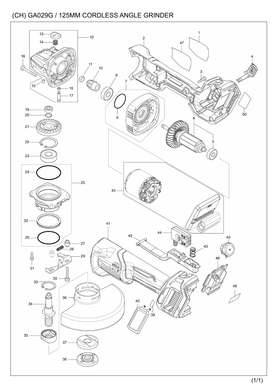![](_page_7_Figure_1.jpeg)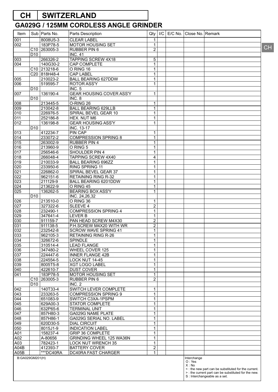# **CH SWITZERLAND**

| Item            |                 | Sub   Parts No.                      | Parts Description                     |                                |  | Qty   I/C   E/C No.   Close No.   Remark |                                                      |           |
|-----------------|-----------------|--------------------------------------|---------------------------------------|--------------------------------|--|------------------------------------------|------------------------------------------------------|-----------|
| 001             |                 | 8008U5-3                             | <b>CLEAR LABEL</b>                    | 1                              |  |                                          |                                                      |           |
| 002             |                 | 183P78-5                             | <b>MOTOR HOUSING SET</b>              | $\mathbf{1}$                   |  |                                          |                                                      |           |
|                 |                 | C10 263005-3                         | <b>RUBBER PIN 6</b>                   | 2                              |  |                                          |                                                      | <b>CH</b> |
|                 | D <sub>10</sub> |                                      | <b>INC. 41</b>                        |                                |  |                                          |                                                      |           |
| 003             |                 | 266326-2                             | <b>TAPPING SCREW 4X18</b>             | 5                              |  |                                          |                                                      |           |
| 004             |                 | 140G30-2                             | CAP COMPLETE                          | $\mathbf{1}$                   |  |                                          |                                                      |           |
|                 |                 | C <sub>10</sub> 213218-6             | O RING 16                             | $\mathbf{1}$                   |  |                                          |                                                      |           |
|                 |                 | C20 818H48-4                         | <b>CAP LABEL</b>                      | 1                              |  |                                          |                                                      |           |
| 005             |                 | 210023-2                             | <b>BALL BEARING 627DDW</b>            | $\mathbf{1}$                   |  |                                          |                                                      |           |
| 006             |                 | 519595-7                             | <b>ROTOR ASS'Y</b>                    | $\mathbf{1}$                   |  |                                          |                                                      |           |
|                 | D <sub>10</sub> |                                      | <b>INC. 5</b>                         |                                |  |                                          |                                                      |           |
| 007             |                 | 136190-4                             | <b>GEAR HOUSING COVER ASS'Y</b>       | 1                              |  |                                          |                                                      |           |
|                 | D <sub>10</sub> |                                      | INC. 8                                |                                |  |                                          |                                                      |           |
| 008             |                 | 213445-5                             | O-RING 26                             | 1                              |  |                                          |                                                      |           |
| 009             |                 | 210042-8                             | <b>BALL BEARING 629LLB</b>            | $\mathbf{1}$                   |  |                                          |                                                      |           |
| 010             |                 | 226976-5                             | SPIRAL BEVEL GEAR 10                  | 1                              |  |                                          |                                                      |           |
| 011             |                 | 252186-8                             | HEX. NUT M6                           | $\mathbf 1$                    |  |                                          |                                                      |           |
| 012             |                 | 136198-8                             | <b>GEAR HOUSING ASS'Y</b>             | $\mathbf{1}$                   |  |                                          |                                                      |           |
|                 | D <sub>10</sub> |                                      | INC. 13-17                            |                                |  |                                          |                                                      |           |
| 013             |                 | 412234-7                             | PIN CAP                               | 1                              |  |                                          |                                                      |           |
| 014             |                 | 233072-2                             | <b>COMPRESSION SPRING 8</b>           | $\mathbf 1$                    |  |                                          |                                                      |           |
| 015             |                 | 263002-9                             | <b>RUBBER PIN 4</b>                   | $\mathbf{1}$                   |  |                                          |                                                      |           |
| 016             |                 | 213960-9                             | O RING 5                              | $\mathbf{1}$                   |  |                                          |                                                      |           |
| 017             |                 | 256546-6                             | SHOULDER PIN 4                        | 1                              |  |                                          |                                                      |           |
| 018             |                 | 266048-4                             | TAPPING SCREW 4X40                    | 4                              |  |                                          |                                                      |           |
| 019             |                 | 210033-9                             | <b>BALL BEARING 696ZZ</b>             | $\mathbf{1}$                   |  |                                          |                                                      |           |
| 020             |                 | 233950-6                             | <b>RING SPRING 11</b>                 | $\mathbf{1}$                   |  |                                          |                                                      |           |
| 021             |                 | 226862-0                             | SPIRAL BEVEL GEAR 37                  | 1                              |  |                                          |                                                      |           |
| 022             |                 | 962151-6                             | <b>RETAINING RING R-32</b>            | $\mathbf{1}$                   |  |                                          |                                                      |           |
| 023             |                 | 211129-9                             | BALL BEARING 6201DDW                  | $\mathbf{1}$                   |  |                                          |                                                      |           |
| 024             |                 | 213622-9                             | O RING 45                             | $\mathbf{1}$                   |  |                                          |                                                      |           |
| 025             |                 | 136262-5                             | <b>BEARING BOX ASS'Y</b>              | 1                              |  |                                          |                                                      |           |
|                 | D <sub>10</sub> |                                      | INC. 24,26,32                         |                                |  |                                          |                                                      |           |
| 026             |                 | 213510-0                             | O RING 36                             | 1                              |  |                                          |                                                      |           |
| 027             |                 | 327322-6                             | <b>SLEEVE 4</b>                       | $\boldsymbol{2}$               |  |                                          |                                                      |           |
| 028             |                 | 232490-1                             | <b>COMPRESSION SPRING 4</b>           | 1                              |  |                                          |                                                      |           |
| 029             |                 | 347641-4                             | <b>LEVER B</b>                        | $\mathbf{1}$                   |  |                                          |                                                      |           |
| 030             |                 | 911159-7                             | PAN HEAD SCREW M4X30                  | $\boldsymbol{2}$               |  |                                          |                                                      |           |
| 031             |                 | 911138-5                             | P.H.SCREW M4X20 WITH WR               | $\boldsymbol{2}$               |  |                                          |                                                      |           |
| 032             |                 | 232542-8                             | SCROW WAVE SPRING 41                  | 1                              |  |                                          |                                                      |           |
| 033             |                 | 962105-3                             | RETAINING RING R-26                   | $\mathbf{1}$                   |  |                                          |                                                      |           |
| 034             |                 | 326672-6                             | SPINDLE                               | $\mathbf 1$                    |  |                                          |                                                      |           |
|                 |                 |                                      |                                       | $\mathbf{1}$                   |  |                                          |                                                      |           |
| 035             |                 | 310514-4<br>347480-2                 | <b>LEAD FLANGE</b><br>WHEEL COVER 125 |                                |  |                                          |                                                      |           |
| 036             |                 | 224447-6                             |                                       | 1<br>$\mathbf{1}$              |  |                                          |                                                      |           |
| 037             |                 |                                      | <b>INNER FLANGE 42B</b>               |                                |  |                                          |                                                      |           |
| 038             |                 | 224554-5                             | LOCK NUT 14-45                        | $\mathbf{1}$                   |  |                                          |                                                      |           |
| 039             |                 | 8005T5-8                             | <b>XGT LOGO LABEL</b>                 | $\mathbf{1}$                   |  |                                          |                                                      |           |
| 040             |                 | 422610-7                             | <b>DUST COVER</b>                     | 1                              |  |                                          |                                                      |           |
| 041             |                 | 183P78-5<br>C <sub>10</sub> 263005-3 | MOTOR HOUSING SET                     | $\mathbf{1}$<br>$\overline{2}$ |  |                                          |                                                      |           |
|                 |                 |                                      | RUBBER PIN 6                          |                                |  |                                          |                                                      |           |
|                 | D <sub>10</sub> |                                      | <b>INC. 2</b>                         |                                |  |                                          |                                                      |           |
| 042             |                 | 140T33-4                             | SWITCH LEVER COMPLETE                 | 1                              |  |                                          |                                                      |           |
| 043             |                 | 233263-5                             | <b>COMPRESSION SPRING 9</b>           | $\mathbf{1}$                   |  |                                          |                                                      |           |
| 044             |                 | 651083-9                             | SWITCH C3XA-1PSPM                     | $\mathbf{1}$                   |  |                                          |                                                      |           |
| 045             |                 | 629A00-3                             | STATOR COMPLETE                       | $\mathbf{1}$                   |  |                                          |                                                      |           |
| 046             |                 | 632P65-6                             | <b>TERMINAL UNIT</b>                  | 1                              |  |                                          |                                                      |           |
| 047             |                 | 857H80-3                             | GA029G NAME PLATE                     | $\mathbf{1}$                   |  |                                          |                                                      |           |
| 048             |                 | 857H86-1                             | GA029G SERIAL NO. LABEL               | $\mathbf{1}$                   |  |                                          |                                                      |           |
| 049             |                 | 620D30-5                             | <b>DIAL CIRCUIT</b>                   | $\mathbf{1}$                   |  |                                          |                                                      |           |
| 050             |                 | 8015J1-9                             | <b>INDICATION LABEL</b>               | 1                              |  |                                          |                                                      |           |
| A01             |                 | 158237-4                             | <b>GRIP 36 COMPLETE</b>               | $\mathbf{1}$                   |  |                                          |                                                      |           |
| A02             |                 | A-80656                              | GRINDING WHEEL 125 WA36N              | $\mathbf{1}$                   |  |                                          |                                                      |           |
| A03             |                 | 782423-1                             | <b>LOCK NUT WRENCH 35</b>             | $\mathbf{1}$                   |  |                                          |                                                      |           |
| A04B            |                 | 412393-7                             | <b>BATTERY COVER</b>                  | $\overline{\mathbf{c}}$        |  |                                          |                                                      |           |
| A05B            |                 | ***DC40RA                            | DC40RA FAST CHARGER                   | $\mathbf{1}$                   |  |                                          |                                                      |           |
| B:GA029GM201(H) |                 |                                      |                                       |                                |  | Interchange                              |                                                      |           |
|                 |                 |                                      |                                       |                                |  | O: Yes<br>X : No                         |                                                      |           |
|                 |                 |                                      |                                       |                                |  |                                          | <: the new part can be substituted for the current.  |           |
|                 |                 |                                      |                                       |                                |  |                                          | > : the current part can be substituted for the new. |           |
|                 |                 |                                      |                                       |                                |  |                                          | S : Interchangeable as a set.                        |           |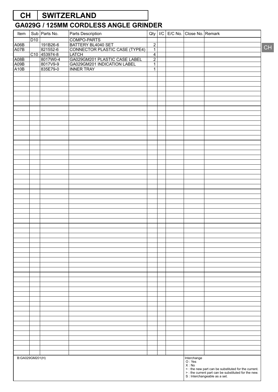# **CH SWITZERLAND**

| Item            |     | Sub Parts No.        | Parts Description                                            |                                  |  |  | Qty   I/C   E/C No.   Close No.   Remark |    |
|-----------------|-----|----------------------|--------------------------------------------------------------|----------------------------------|--|--|------------------------------------------|----|
|                 | D10 |                      | COMPO-PARTS                                                  |                                  |  |  |                                          |    |
| A06B            |     | 191B26-6<br>821552-6 | BATTERY BL4040 SET                                           | $\overline{2}$                   |  |  |                                          | CH |
| A07B            |     |                      | CONNECTOR PLASTIC CASE (TYPE4)                               | $\overline{1}$                   |  |  |                                          |    |
|                 |     | C10 453974-8         | LATCH                                                        | $\overline{4}$                   |  |  |                                          |    |
| A08B<br>A09B    |     | 8017W0-4             | GA029GM201 PLASTIC CASE LABEL<br>GA029GM201 INDICATION LABEL | $\overline{2}$<br>$\overline{1}$ |  |  |                                          |    |
| A10B            |     | 8017V9-9<br>835E79-0 | <b>INNER TRAY</b>                                            | $\overline{1}$                   |  |  |                                          |    |
|                 |     |                      |                                                              |                                  |  |  |                                          |    |
|                 |     |                      |                                                              |                                  |  |  |                                          |    |
|                 |     |                      |                                                              |                                  |  |  |                                          |    |
|                 |     |                      |                                                              |                                  |  |  |                                          |    |
|                 |     |                      |                                                              |                                  |  |  |                                          |    |
|                 |     |                      |                                                              |                                  |  |  |                                          |    |
|                 |     |                      |                                                              |                                  |  |  |                                          |    |
|                 |     |                      |                                                              |                                  |  |  |                                          |    |
|                 |     |                      |                                                              |                                  |  |  |                                          |    |
|                 |     |                      |                                                              |                                  |  |  |                                          |    |
|                 |     |                      |                                                              |                                  |  |  |                                          |    |
|                 |     |                      |                                                              |                                  |  |  |                                          |    |
|                 |     |                      |                                                              |                                  |  |  |                                          |    |
|                 |     |                      |                                                              |                                  |  |  |                                          |    |
|                 |     |                      |                                                              |                                  |  |  |                                          |    |
|                 |     |                      |                                                              |                                  |  |  |                                          |    |
|                 |     |                      |                                                              |                                  |  |  |                                          |    |
|                 |     |                      |                                                              |                                  |  |  |                                          |    |
|                 |     |                      |                                                              |                                  |  |  |                                          |    |
|                 |     |                      |                                                              |                                  |  |  |                                          |    |
|                 |     |                      |                                                              |                                  |  |  |                                          |    |
|                 |     |                      |                                                              |                                  |  |  |                                          |    |
|                 |     |                      |                                                              |                                  |  |  |                                          |    |
|                 |     |                      |                                                              |                                  |  |  |                                          |    |
|                 |     |                      |                                                              |                                  |  |  |                                          |    |
|                 |     |                      |                                                              |                                  |  |  |                                          |    |
|                 |     |                      |                                                              |                                  |  |  |                                          |    |
|                 |     |                      |                                                              |                                  |  |  |                                          |    |
|                 |     |                      |                                                              |                                  |  |  |                                          |    |
|                 |     |                      |                                                              |                                  |  |  |                                          |    |
|                 |     |                      |                                                              |                                  |  |  |                                          |    |
|                 |     |                      |                                                              |                                  |  |  |                                          |    |
|                 |     |                      |                                                              |                                  |  |  |                                          |    |
|                 |     |                      |                                                              |                                  |  |  |                                          |    |
|                 |     |                      |                                                              |                                  |  |  |                                          |    |
|                 |     |                      |                                                              |                                  |  |  |                                          |    |
|                 |     |                      |                                                              |                                  |  |  |                                          |    |
|                 |     |                      |                                                              |                                  |  |  |                                          |    |
|                 |     |                      |                                                              |                                  |  |  |                                          |    |
|                 |     |                      |                                                              |                                  |  |  |                                          |    |
|                 |     |                      |                                                              |                                  |  |  |                                          |    |
|                 |     |                      |                                                              |                                  |  |  |                                          |    |
|                 |     |                      |                                                              |                                  |  |  |                                          |    |
|                 |     |                      |                                                              |                                  |  |  |                                          |    |
|                 |     |                      |                                                              |                                  |  |  |                                          |    |
|                 |     |                      |                                                              |                                  |  |  |                                          |    |
|                 |     |                      |                                                              |                                  |  |  |                                          |    |
|                 |     |                      |                                                              |                                  |  |  |                                          |    |
|                 |     |                      |                                                              |                                  |  |  |                                          |    |
|                 |     |                      |                                                              |                                  |  |  |                                          |    |
|                 |     |                      |                                                              |                                  |  |  |                                          |    |
|                 |     |                      |                                                              |                                  |  |  |                                          |    |
| B:GA029GM201(H) |     |                      |                                                              |                                  |  |  | Interchange<br>O:Yes<br>X : No           |    |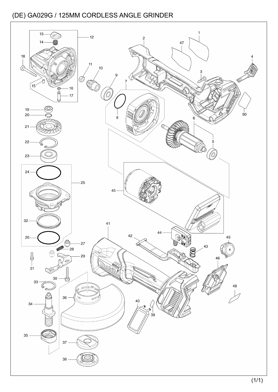![](_page_10_Figure_1.jpeg)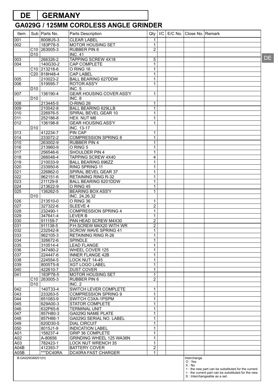# **DE GERMANY**

#### **GA029G / 125MM CORDLESS ANGLE GRINDER**

| Item                    |                                    | Sub   Parts No.          | Parts Description                   | Qty               |  | I/C   E/C No.   Close No.   Remark |                                                                                                                                              |  |
|-------------------------|------------------------------------|--------------------------|-------------------------------------|-------------------|--|------------------------------------|----------------------------------------------------------------------------------------------------------------------------------------------|--|
| 001                     |                                    | 8008U5-3                 | <b>CLEAR LABEL</b>                  | 1.                |  |                                    |                                                                                                                                              |  |
| 002                     |                                    | 183P78-5                 | MOTOR HOUSING SET                   | 1                 |  |                                    |                                                                                                                                              |  |
|                         |                                    | C <sub>10</sub> 263005-3 | RUBBER PIN 6                        | $\overline{2}$    |  |                                    |                                                                                                                                              |  |
|                         | D <sub>10</sub>                    |                          | <b>INC. 41</b>                      |                   |  |                                    |                                                                                                                                              |  |
| 003                     |                                    | 266326-2                 | TAPPING SCREW 4X18                  | 5                 |  |                                    |                                                                                                                                              |  |
| 004                     |                                    | 140G30-2                 | CAP COMPLETE                        | 1                 |  |                                    |                                                                                                                                              |  |
|                         |                                    | $C10$ 213218-6           | O RING 16                           | 1                 |  |                                    |                                                                                                                                              |  |
|                         |                                    | C20 818H48-4             | <b>CAP LABEL</b>                    | $\mathbf{1}$      |  |                                    |                                                                                                                                              |  |
| 005<br>006              |                                    | 210023-2<br>519595-7     | <b>BALL BEARING 627DDW</b>          | 1<br>$\mathbf{1}$ |  |                                    |                                                                                                                                              |  |
|                         | D <sub>10</sub>                    |                          | <b>ROTOR ASS'Y</b><br><b>INC. 5</b> |                   |  |                                    |                                                                                                                                              |  |
| 007                     |                                    | 136190-4                 | <b>GEAR HOUSING COVER ASS'Y</b>     | $\mathbf{1}$      |  |                                    |                                                                                                                                              |  |
|                         | D <sub>10</sub>                    |                          | INC. 8                              |                   |  |                                    |                                                                                                                                              |  |
| 008                     |                                    | 213445-5                 | O-RING 26                           | 1                 |  |                                    |                                                                                                                                              |  |
| 009                     |                                    | 210042-8                 | <b>BALL BEARING 629LLB</b>          | 1                 |  |                                    |                                                                                                                                              |  |
| 010                     |                                    | 226976-5                 | SPIRAL BEVEL GEAR 10                | $\mathbf{1}$      |  |                                    |                                                                                                                                              |  |
| 011                     |                                    | 252186-8                 | HEX. NUT M6                         | 1                 |  |                                    |                                                                                                                                              |  |
| 012                     |                                    | 136198-8                 | <b>GEAR HOUSING ASS'Y</b>           | $\mathbf{1}$      |  |                                    |                                                                                                                                              |  |
|                         | D <sub>10</sub>                    |                          | <b>INC. 13-17</b>                   |                   |  |                                    |                                                                                                                                              |  |
| 013                     |                                    | 412234-7                 | <b>PIN CAP</b>                      | 1                 |  |                                    |                                                                                                                                              |  |
| 014                     |                                    | 233072-2                 | <b>COMPRESSION SPRING 8</b>         | 1                 |  |                                    |                                                                                                                                              |  |
| 015                     |                                    | 263002-9                 | <b>RUBBER PIN 4</b>                 | $\mathbf{1}$      |  |                                    |                                                                                                                                              |  |
| 016                     |                                    | 213960-9                 | O RING 5                            | 1                 |  |                                    |                                                                                                                                              |  |
| 017                     |                                    | 256546-6                 | SHOULDER PIN 4                      | $\mathbf{1}$      |  |                                    |                                                                                                                                              |  |
| 018                     |                                    | 266048-4                 | TAPPING SCREW 4X40                  | 4                 |  |                                    |                                                                                                                                              |  |
| 019                     |                                    | 210033-9                 | <b>BALL BEARING 696ZZ</b>           | 1                 |  |                                    |                                                                                                                                              |  |
| 020                     |                                    | 233950-6                 | RING SPRING 11                      | $\mathbf{1}$      |  |                                    |                                                                                                                                              |  |
| $\overline{021}$        |                                    | 226862-0                 | SPIRAL BEVEL GEAR 37                | $\mathbf{1}$      |  |                                    |                                                                                                                                              |  |
| 022                     |                                    | 962151-6                 | <b>RETAINING RING R-32</b>          | 1                 |  |                                    |                                                                                                                                              |  |
| 023<br>$\overline{024}$ |                                    | 211129-9                 | BALL BEARING 6201DDW<br>O RING 45   | $\mathbf{1}$<br>1 |  |                                    |                                                                                                                                              |  |
| $\overline{025}$        |                                    | 213622-9<br>136262-5     | <b>BEARING BOX ASS'Y</b>            | $\mathbf{1}$      |  |                                    |                                                                                                                                              |  |
|                         | D <sub>10</sub>                    |                          | INC. 24,26,32                       |                   |  |                                    |                                                                                                                                              |  |
| 026                     |                                    | 213510-0                 | O RING 36                           | 1                 |  |                                    |                                                                                                                                              |  |
| 027                     |                                    | 327322-6                 | <b>SLEEVE 4</b>                     | $\overline{2}$    |  |                                    |                                                                                                                                              |  |
| 028                     |                                    | 232490-1                 | <b>COMPRESSION SPRING 4</b>         | $\mathbf{1}$      |  |                                    |                                                                                                                                              |  |
| 029                     |                                    | 347641-4                 | <b>LEVER B</b>                      | 1                 |  |                                    |                                                                                                                                              |  |
| 030                     |                                    | 911159-7                 | PAN HEAD SCREW M4X30                | $\overline{2}$    |  |                                    |                                                                                                                                              |  |
| 031                     |                                    | 911138-5                 | P.H.SCREW M4X20 WITH WR             | $\overline{2}$    |  |                                    |                                                                                                                                              |  |
| 032                     |                                    | 232542-8                 | <b>SCROW WAVE SPRING 41</b>         | $\mathbf{1}$      |  |                                    |                                                                                                                                              |  |
| 033                     |                                    | 962105-3                 | RETAINING RING R-26                 | 1                 |  |                                    |                                                                                                                                              |  |
| 034                     |                                    | 326672-6                 | SPINDLE                             | 1                 |  |                                    |                                                                                                                                              |  |
| 035                     |                                    | 310514-4                 | <b>LEAD FLANGE</b>                  | $\mathbf{1}$      |  |                                    |                                                                                                                                              |  |
| 036                     |                                    | 347480-2                 | WHEEL COVER 125                     | 1                 |  |                                    |                                                                                                                                              |  |
| 037                     |                                    | 224447-6                 | <b>INNER FLANGE 42B</b>             | 1                 |  |                                    |                                                                                                                                              |  |
| 038                     |                                    | 224554-5                 | LOCK NUT 14-45                      | 1                 |  |                                    |                                                                                                                                              |  |
| 039                     |                                    | 8005T5-8                 | <b>XGT LOGO LABEL</b>               | $\mathbf{1}$      |  |                                    |                                                                                                                                              |  |
| 040                     |                                    | 422610-7                 | <b>DUST COVER</b>                   | $\mathbf{1}$      |  |                                    |                                                                                                                                              |  |
| 041                     |                                    | 183P78-5                 | MOTOR HOUSING SET                   | 1                 |  |                                    |                                                                                                                                              |  |
|                         | C <sub>10</sub><br>D <sub>10</sub> | 263005-3                 | <b>RUBBER PIN 6</b><br>INC. 2       | $\overline{2}$    |  |                                    |                                                                                                                                              |  |
| 042                     |                                    | 140T33-4                 | SWITCH LEVER COMPLETE               | 1                 |  |                                    |                                                                                                                                              |  |
| 043                     |                                    | 233263-5                 | <b>COMPRESSION SPRING 9</b>         | 1                 |  |                                    |                                                                                                                                              |  |
| 044                     |                                    | 651083-9                 | SWITCH C3XA-1PSPM                   | 1                 |  |                                    |                                                                                                                                              |  |
| 045                     |                                    | 629A00-3                 | STATOR COMPLETE                     | $\mathbf{1}$      |  |                                    |                                                                                                                                              |  |
| 046                     |                                    | 632P65-6                 | <b>TERMINAL UNIT</b>                | $\mathbf{1}$      |  |                                    |                                                                                                                                              |  |
| 047                     |                                    | 857H80-3                 | GA029G NAME PLATE                   | 1                 |  |                                    |                                                                                                                                              |  |
| 048                     |                                    | 857H86-1                 | GA029G SERIAL NO. LABEL             | 1                 |  |                                    |                                                                                                                                              |  |
| 049                     |                                    | 620D30-5                 | <b>DIAL CIRCUIT</b>                 | 1                 |  |                                    |                                                                                                                                              |  |
| 050                     |                                    | 8015J1-9                 | <b>INDICATION LABEL</b>             | $\mathbf{1}$      |  |                                    |                                                                                                                                              |  |
| A01                     |                                    | 158237-4                 | <b>GRIP 36 COMPLETE</b>             | 1                 |  |                                    |                                                                                                                                              |  |
| A02                     |                                    | A-80656                  | GRINDING WHEEL 125 WA36N            | $\mathbf{1}$      |  |                                    |                                                                                                                                              |  |
| A03                     |                                    | 782423-1                 | <b>LOCK NUT WRENCH 35</b>           | $\mathbf{1}$      |  |                                    |                                                                                                                                              |  |
| A04B                    |                                    | 412393-7                 | <b>BATTERY COVER</b>                | $\overline{2}$    |  |                                    |                                                                                                                                              |  |
| A05B                    |                                    | ***DC40RA                | DC40RA FAST CHARGER                 | $\mathbf{1}$      |  |                                    |                                                                                                                                              |  |
| B:GA029GM201(H)         |                                    |                          |                                     |                   |  | Interchange<br>O: Yes<br>$X:$ No   | <: the new part can be substituted for the current.<br>> : the current part can be substituted for the new.<br>S : Interchangeable as a set. |  |

DE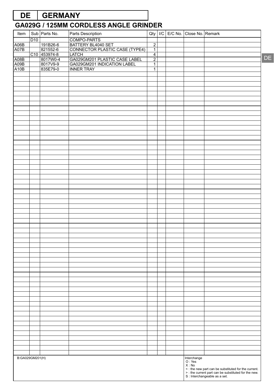# **DE GERMANY**

# **GA029G / 125MM CORDLESS ANGLE GRINDER**

| COMPO-PARTS<br>D <sub>10</sub><br>BATTERY BL4040 SET<br>191B26-6<br>$\overline{2}$<br>A06B<br>CONNECTOR PLASTIC CASE (TYPE4)<br>$\overline{1}$<br>821552-6<br>C10 453974-8<br>$\overline{4}$<br>8017W0-4<br>GA029GM201 PLASTIC CASE LABEL<br>$\overline{2}$<br>8017V9-9<br>GA029GM201 INDICATION LABEL<br>$\overline{1}$<br>835E79-0<br><b>INNER TRAY</b><br>$\overline{1}$<br>B:GA029GM201(H)<br>Interchange<br>O : Yes<br>X: No | Item | Sub Parts No. | Parts Description |  | Qty   I/C   E/C No.   Close No.   Remark |  |
|-----------------------------------------------------------------------------------------------------------------------------------------------------------------------------------------------------------------------------------------------------------------------------------------------------------------------------------------------------------------------------------------------------------------------------------|------|---------------|-------------------|--|------------------------------------------|--|
| A07B<br>A08B<br>A09B<br>A10B                                                                                                                                                                                                                                                                                                                                                                                                      |      |               |                   |  |                                          |  |
|                                                                                                                                                                                                                                                                                                                                                                                                                                   |      |               |                   |  |                                          |  |
|                                                                                                                                                                                                                                                                                                                                                                                                                                   |      |               |                   |  |                                          |  |
|                                                                                                                                                                                                                                                                                                                                                                                                                                   |      |               |                   |  |                                          |  |
|                                                                                                                                                                                                                                                                                                                                                                                                                                   |      |               |                   |  |                                          |  |
|                                                                                                                                                                                                                                                                                                                                                                                                                                   |      |               |                   |  |                                          |  |
|                                                                                                                                                                                                                                                                                                                                                                                                                                   |      |               |                   |  |                                          |  |
|                                                                                                                                                                                                                                                                                                                                                                                                                                   |      |               |                   |  |                                          |  |
|                                                                                                                                                                                                                                                                                                                                                                                                                                   |      |               |                   |  |                                          |  |
|                                                                                                                                                                                                                                                                                                                                                                                                                                   |      |               |                   |  |                                          |  |
|                                                                                                                                                                                                                                                                                                                                                                                                                                   |      |               |                   |  |                                          |  |
|                                                                                                                                                                                                                                                                                                                                                                                                                                   |      |               |                   |  |                                          |  |
|                                                                                                                                                                                                                                                                                                                                                                                                                                   |      |               |                   |  |                                          |  |
|                                                                                                                                                                                                                                                                                                                                                                                                                                   |      |               |                   |  |                                          |  |
|                                                                                                                                                                                                                                                                                                                                                                                                                                   |      |               |                   |  |                                          |  |
|                                                                                                                                                                                                                                                                                                                                                                                                                                   |      |               |                   |  |                                          |  |
|                                                                                                                                                                                                                                                                                                                                                                                                                                   |      |               |                   |  |                                          |  |
|                                                                                                                                                                                                                                                                                                                                                                                                                                   |      |               |                   |  |                                          |  |
|                                                                                                                                                                                                                                                                                                                                                                                                                                   |      |               |                   |  |                                          |  |
|                                                                                                                                                                                                                                                                                                                                                                                                                                   |      |               |                   |  |                                          |  |
|                                                                                                                                                                                                                                                                                                                                                                                                                                   |      |               |                   |  |                                          |  |
|                                                                                                                                                                                                                                                                                                                                                                                                                                   |      |               |                   |  |                                          |  |
|                                                                                                                                                                                                                                                                                                                                                                                                                                   |      |               |                   |  |                                          |  |
|                                                                                                                                                                                                                                                                                                                                                                                                                                   |      |               |                   |  |                                          |  |
|                                                                                                                                                                                                                                                                                                                                                                                                                                   |      |               |                   |  |                                          |  |
|                                                                                                                                                                                                                                                                                                                                                                                                                                   |      |               |                   |  |                                          |  |
|                                                                                                                                                                                                                                                                                                                                                                                                                                   |      |               |                   |  |                                          |  |
|                                                                                                                                                                                                                                                                                                                                                                                                                                   |      |               |                   |  |                                          |  |
|                                                                                                                                                                                                                                                                                                                                                                                                                                   |      |               |                   |  |                                          |  |
|                                                                                                                                                                                                                                                                                                                                                                                                                                   |      |               |                   |  |                                          |  |
|                                                                                                                                                                                                                                                                                                                                                                                                                                   |      |               |                   |  |                                          |  |
|                                                                                                                                                                                                                                                                                                                                                                                                                                   |      |               |                   |  |                                          |  |
|                                                                                                                                                                                                                                                                                                                                                                                                                                   |      |               |                   |  |                                          |  |
|                                                                                                                                                                                                                                                                                                                                                                                                                                   |      |               |                   |  |                                          |  |
|                                                                                                                                                                                                                                                                                                                                                                                                                                   |      |               |                   |  |                                          |  |
|                                                                                                                                                                                                                                                                                                                                                                                                                                   |      |               |                   |  |                                          |  |
|                                                                                                                                                                                                                                                                                                                                                                                                                                   |      |               |                   |  |                                          |  |
|                                                                                                                                                                                                                                                                                                                                                                                                                                   |      |               |                   |  |                                          |  |
|                                                                                                                                                                                                                                                                                                                                                                                                                                   |      |               |                   |  |                                          |  |
|                                                                                                                                                                                                                                                                                                                                                                                                                                   |      |               |                   |  |                                          |  |
|                                                                                                                                                                                                                                                                                                                                                                                                                                   |      |               |                   |  |                                          |  |
|                                                                                                                                                                                                                                                                                                                                                                                                                                   |      |               |                   |  |                                          |  |
|                                                                                                                                                                                                                                                                                                                                                                                                                                   |      |               |                   |  |                                          |  |
|                                                                                                                                                                                                                                                                                                                                                                                                                                   |      |               |                   |  |                                          |  |
|                                                                                                                                                                                                                                                                                                                                                                                                                                   |      |               |                   |  |                                          |  |
|                                                                                                                                                                                                                                                                                                                                                                                                                                   |      |               |                   |  |                                          |  |
|                                                                                                                                                                                                                                                                                                                                                                                                                                   |      |               |                   |  |                                          |  |
|                                                                                                                                                                                                                                                                                                                                                                                                                                   |      |               |                   |  |                                          |  |
|                                                                                                                                                                                                                                                                                                                                                                                                                                   |      |               |                   |  |                                          |  |
|                                                                                                                                                                                                                                                                                                                                                                                                                                   |      |               |                   |  |                                          |  |
|                                                                                                                                                                                                                                                                                                                                                                                                                                   |      |               |                   |  |                                          |  |
|                                                                                                                                                                                                                                                                                                                                                                                                                                   |      |               |                   |  |                                          |  |
|                                                                                                                                                                                                                                                                                                                                                                                                                                   |      |               |                   |  |                                          |  |
|                                                                                                                                                                                                                                                                                                                                                                                                                                   |      |               |                   |  |                                          |  |
|                                                                                                                                                                                                                                                                                                                                                                                                                                   |      |               |                   |  |                                          |  |
|                                                                                                                                                                                                                                                                                                                                                                                                                                   |      |               |                   |  |                                          |  |
|                                                                                                                                                                                                                                                                                                                                                                                                                                   |      |               |                   |  |                                          |  |
|                                                                                                                                                                                                                                                                                                                                                                                                                                   |      |               |                   |  |                                          |  |
|                                                                                                                                                                                                                                                                                                                                                                                                                                   |      |               |                   |  |                                          |  |
|                                                                                                                                                                                                                                                                                                                                                                                                                                   |      |               |                   |  |                                          |  |

DE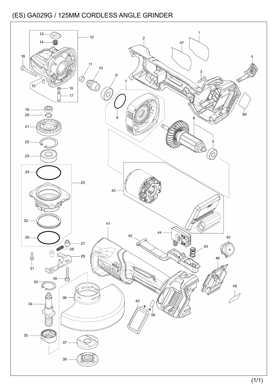![](_page_13_Figure_1.jpeg)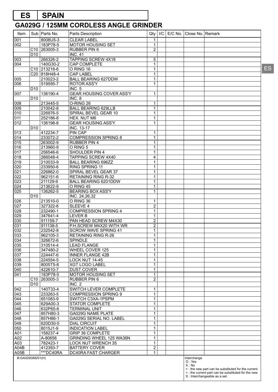# **ES SPAIN**

#### **GA029G / 125MM CORDLESS ANGLE GRINDER**

| Item             |                 | Sub   Parts No.          | Parts Description               | Qty            |  | I/C   E/C No.   Close No.   Remark |                                                      |
|------------------|-----------------|--------------------------|---------------------------------|----------------|--|------------------------------------|------------------------------------------------------|
| 001              |                 | 8008U5-3                 | <b>CLEAR LABEL</b>              | 1              |  |                                    |                                                      |
| 002              |                 | 183P78-5                 | MOTOR HOUSING SET               | 1              |  |                                    |                                                      |
|                  |                 | C <sub>10</sub> 263005-3 | <b>RUBBER PIN 6</b>             | $\overline{2}$ |  |                                    |                                                      |
|                  | D <sub>10</sub> |                          | <b>INC. 41</b>                  |                |  |                                    |                                                      |
| 003              |                 | 266326-2                 | <b>TAPPING SCREW 4X18</b>       | $\overline{5}$ |  |                                    |                                                      |
| 004              |                 | 140G30-2                 | <b>CAP COMPLETE</b>             | 1              |  |                                    |                                                      |
|                  |                 | C <sub>10</sub> 213218-6 | O RING 16                       | $\mathbf{1}$   |  |                                    |                                                      |
|                  |                 | C20 818H48-4             | <b>CAP LABEL</b>                | $\mathbf{1}$   |  |                                    |                                                      |
| 005<br>006       |                 | 210023-2<br>519595-7     | <b>BALL BEARING 627DDW</b>      | $\mathbf{1}$   |  |                                    |                                                      |
|                  | D <sub>10</sub> |                          | <b>ROTOR ASS'Y</b><br>INC. 5    | 1              |  |                                    |                                                      |
| 007              |                 | 136190-4                 | <b>GEAR HOUSING COVER ASS'Y</b> | $\mathbf{1}$   |  |                                    |                                                      |
|                  | D <sub>10</sub> |                          | INC. 8                          |                |  |                                    |                                                      |
| 008              |                 | 213445-5                 | O-RING 26                       | 1              |  |                                    |                                                      |
| 009              |                 | 210042-8                 | <b>BALL BEARING 629LLB</b>      | $\mathbf{1}$   |  |                                    |                                                      |
| 010              |                 | 226976-5                 | SPIRAL BEVEL GEAR 10            | $\mathbf{1}$   |  |                                    |                                                      |
| 011              |                 | 252186-8                 | HEX. NUT M6                     | $\mathbf{1}$   |  |                                    |                                                      |
| 012              |                 | 136198-8                 | <b>GEAR HOUSING ASS'Y</b>       | 1              |  |                                    |                                                      |
|                  | D <sub>10</sub> |                          | INC. 13-17                      |                |  |                                    |                                                      |
| 013              |                 | 412234-7                 | <b>PIN CAP</b>                  | $\mathbf{1}$   |  |                                    |                                                      |
| 014              |                 | 233072-2                 | <b>COMPRESSION SPRING 8</b>     | $\mathbf{1}$   |  |                                    |                                                      |
| 015              |                 | 263002-9                 | <b>RUBBER PIN 4</b>             | 1              |  |                                    |                                                      |
| 016              |                 | 213960-9                 | O RING 5                        | $\mathbf{1}$   |  |                                    |                                                      |
| 017              |                 | 256546-6                 | SHOULDER PIN 4                  | $\mathbf{1}$   |  |                                    |                                                      |
| 018              |                 | 266048-4                 | TAPPING SCREW 4X40              | 4              |  |                                    |                                                      |
| 019              |                 | 210033-9                 | <b>BALL BEARING 696ZZ</b>       | 1              |  |                                    |                                                      |
| 020              |                 | 233950-6                 | RING SPRING 11                  | $\mathbf{1}$   |  |                                    |                                                      |
| $\overline{021}$ |                 | 226862-0                 | SPIRAL BEVEL GEAR 37            | $\mathbf{1}$   |  |                                    |                                                      |
| $\overline{022}$ |                 | 962151-6                 | <b>RETAINING RING R-32</b>      | $\mathbf{1}$   |  |                                    |                                                      |
| 023              |                 | 211129-9                 | BALL BEARING 6201DDW            | 1              |  |                                    |                                                      |
| 024              |                 | 213622-9                 | O RING 45                       | $\mathbf{1}$   |  |                                    |                                                      |
| $\overline{025}$ |                 | 136262-5                 | <b>BEARING BOX ASS'Y</b>        | $\mathbf{1}$   |  |                                    |                                                      |
|                  | D <sub>10</sub> |                          | INC. 24,26,32                   |                |  |                                    |                                                      |
| 026              |                 | 213510-0                 | O RING 36                       | 1              |  |                                    |                                                      |
| 027              |                 | 327322-6                 | SLEEVE 4                        | $\overline{2}$ |  |                                    |                                                      |
| 028              |                 | 232490-1                 | <b>COMPRESSION SPRING 4</b>     | 1              |  |                                    |                                                      |
| $\overline{029}$ |                 | 347641-4                 | <b>LEVER B</b>                  | $\mathbf{1}$   |  |                                    |                                                      |
| 030              |                 | 911159-7                 | PAN HEAD SCREW M4X30            | $\overline{2}$ |  |                                    |                                                      |
| 031              |                 | 911138-5                 | P.H.SCREW M4X20 WITH WR         | $\overline{2}$ |  |                                    |                                                      |
| 032              |                 | 232542-8                 | <b>SCROW WAVE SPRING 41</b>     | $\mathbf{1}$   |  |                                    |                                                      |
| 033              |                 | 962105-3                 | RETAINING RING R-26             | 1              |  |                                    |                                                      |
| 034              |                 | 326672-6                 | <b>SPINDLE</b>                  | 1              |  |                                    |                                                      |
| 035              |                 | 310514-4                 | <b>LEAD FLANGE</b>              | $\mathbf{1}$   |  |                                    |                                                      |
| 036              |                 | 347480-2                 | WHEEL COVER 125                 | $\mathbf{1}$   |  |                                    |                                                      |
| 037              |                 | 224447-6                 | <b>INNER FLANGE 42B</b>         | $\mathbf{1}$   |  |                                    |                                                      |
| 038              |                 | 224554-5                 | LOCK NUT 14-45                  | $\mathbf{1}$   |  |                                    |                                                      |
| 039              |                 | 8005T5-8                 | XGT LOGO LABEL                  | $\mathbf{1}$   |  |                                    |                                                      |
| 040              |                 | 422610-7                 | <b>DUST COVER</b>               | $\mathbf{1}$   |  |                                    |                                                      |
| 041              |                 | 183P78-5                 | <b>MOTOR HOUSING SET</b>        | $\mathbf{1}$   |  |                                    |                                                      |
|                  | D <sub>10</sub> | C <sub>10</sub> 263005-3 | RUBBER PIN 6<br><b>INC. 2</b>   | $\overline{2}$ |  |                                    |                                                      |
| 042              |                 | 140T33-4                 | SWITCH LEVER COMPLETE           | $\mathbf{1}$   |  |                                    |                                                      |
| 043              |                 | 233263-5                 | <b>COMPRESSION SPRING 9</b>     | $\mathbf{1}$   |  |                                    |                                                      |
| 044              |                 | 651083-9                 | SWITCH C3XA-1PSPM               | $\mathbf{1}$   |  |                                    |                                                      |
| 045              |                 | 629A00-3                 | STATOR COMPLETE                 | $\mathbf{1}$   |  |                                    |                                                      |
| 046              |                 | 632P65-6                 | <b>TERMINAL UNIT</b>            | $\mathbf{1}$   |  |                                    |                                                      |
| 047              |                 | 857H80-3                 | GA029G NAME PLATE               | $\mathbf{1}$   |  |                                    |                                                      |
| 048              |                 | 857H86-1                 | GA029G SERIAL NO. LABEL         | $\mathbf{1}$   |  |                                    |                                                      |
| 049              |                 | 620D30-5                 | <b>DIAL CIRCUIT</b>             | $\mathbf{1}$   |  |                                    |                                                      |
| 050              |                 | 8015J1-9                 | <b>INDICATION LABEL</b>         | $\mathbf{1}$   |  |                                    |                                                      |
| A01              |                 | 158237-4                 | <b>GRIP 36 COMPLETE</b>         | $\mathbf{1}$   |  |                                    |                                                      |
| A02              |                 | A-80656                  | GRINDING WHEEL 125 WA36N        | $\mathbf{1}$   |  |                                    |                                                      |
| A03              |                 | 782423-1                 | <b>LOCK NUT WRENCH 35</b>       | $\mathbf{1}$   |  |                                    |                                                      |
| A04B             |                 | 412393-7                 | <b>BATTERY COVER</b>            | $\overline{2}$ |  |                                    |                                                      |
| A05B             |                 | ***DC40RA                | DC40RA FAST CHARGER             | $\mathbf{1}$   |  |                                    |                                                      |
| B:GA029GM201(H)  |                 |                          |                                 |                |  | Interchange                        |                                                      |
|                  |                 |                          |                                 |                |  | O: Yes                             |                                                      |
|                  |                 |                          |                                 |                |  | X : No                             | <: the new part can be substituted for the current.  |
|                  |                 |                          |                                 |                |  |                                    | > : the current part can be substituted for the new. |
|                  |                 |                          |                                 |                |  |                                    | S : Interchangeable as a set.                        |

ES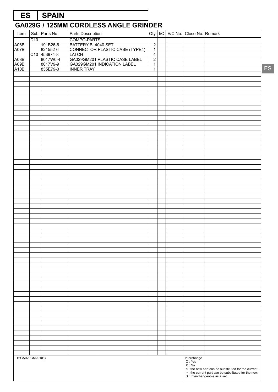# **ES SPAIN**

| Item                 |                 | Sub Parts No.            | Parts Description                                    | Qty            |  | I/C E/C No. Close No. Remark     |           |
|----------------------|-----------------|--------------------------|------------------------------------------------------|----------------|--|----------------------------------|-----------|
|                      | D <sub>10</sub> |                          | COMPO-PARTS                                          |                |  |                                  |           |
| A06B                 |                 | 191B26-6                 | BATTERY BL4040 SET<br>CONNECTOR PLASTIC CASE (TYPE4) | $\overline{2}$ |  |                                  |           |
| A07B                 |                 | 821552-6                 |                                                      | $\overline{1}$ |  |                                  |           |
|                      |                 |                          |                                                      | $\overline{4}$ |  |                                  |           |
| A08B<br>A09B<br>A10B |                 | C10 453974-8<br>8017W0-4 | LATCH<br>GA029GM201 PLASTIC CASE LABEL               | $\overline{2}$ |  |                                  |           |
|                      |                 | 8017V9-9                 | GA029GM201 INDICATION LABEL                          | $\overline{1}$ |  |                                  |           |
|                      |                 |                          | <b>INNER TRAY</b>                                    | $\overline{1}$ |  |                                  | <b>ES</b> |
|                      |                 |                          |                                                      |                |  |                                  |           |
|                      |                 |                          |                                                      |                |  |                                  |           |
|                      |                 |                          |                                                      |                |  |                                  |           |
|                      |                 |                          |                                                      |                |  |                                  |           |
|                      |                 |                          |                                                      |                |  |                                  |           |
|                      |                 |                          |                                                      |                |  |                                  |           |
|                      |                 |                          |                                                      |                |  |                                  |           |
|                      |                 |                          |                                                      |                |  |                                  |           |
|                      |                 |                          |                                                      |                |  |                                  |           |
|                      |                 |                          |                                                      |                |  |                                  |           |
|                      |                 |                          |                                                      |                |  |                                  |           |
|                      |                 |                          |                                                      |                |  |                                  |           |
|                      |                 |                          |                                                      |                |  |                                  |           |
|                      |                 |                          |                                                      |                |  |                                  |           |
|                      |                 |                          |                                                      |                |  |                                  |           |
|                      |                 |                          |                                                      |                |  |                                  |           |
|                      |                 |                          |                                                      |                |  |                                  |           |
|                      |                 |                          |                                                      |                |  |                                  |           |
|                      |                 |                          |                                                      |                |  |                                  |           |
|                      |                 |                          |                                                      |                |  |                                  |           |
|                      |                 |                          |                                                      |                |  |                                  |           |
|                      |                 |                          |                                                      |                |  |                                  |           |
|                      |                 |                          |                                                      |                |  |                                  |           |
|                      |                 |                          |                                                      |                |  |                                  |           |
|                      |                 |                          |                                                      |                |  |                                  |           |
|                      |                 |                          |                                                      |                |  |                                  |           |
|                      |                 |                          |                                                      |                |  |                                  |           |
|                      |                 |                          |                                                      |                |  |                                  |           |
|                      |                 |                          |                                                      |                |  |                                  |           |
|                      |                 |                          |                                                      |                |  |                                  |           |
|                      |                 |                          |                                                      |                |  |                                  |           |
|                      |                 |                          |                                                      |                |  |                                  |           |
|                      |                 |                          |                                                      |                |  |                                  |           |
|                      |                 |                          |                                                      |                |  |                                  |           |
|                      |                 |                          |                                                      |                |  |                                  |           |
|                      |                 |                          |                                                      |                |  |                                  |           |
|                      |                 |                          |                                                      |                |  |                                  |           |
|                      |                 |                          |                                                      |                |  |                                  |           |
|                      |                 |                          |                                                      |                |  |                                  |           |
|                      |                 |                          |                                                      |                |  |                                  |           |
|                      |                 |                          |                                                      |                |  |                                  |           |
|                      |                 |                          |                                                      |                |  |                                  |           |
|                      |                 |                          |                                                      |                |  |                                  |           |
|                      |                 |                          |                                                      |                |  |                                  |           |
|                      |                 |                          |                                                      |                |  |                                  |           |
|                      |                 |                          |                                                      |                |  |                                  |           |
|                      |                 |                          |                                                      |                |  |                                  |           |
|                      |                 |                          |                                                      |                |  |                                  |           |
|                      |                 |                          |                                                      |                |  |                                  |           |
|                      |                 |                          |                                                      |                |  |                                  |           |
|                      |                 |                          |                                                      |                |  |                                  |           |
|                      |                 |                          |                                                      |                |  |                                  |           |
|                      |                 |                          |                                                      |                |  |                                  |           |
|                      |                 |                          |                                                      |                |  |                                  |           |
|                      |                 |                          |                                                      |                |  |                                  |           |
|                      |                 |                          |                                                      |                |  |                                  |           |
|                      |                 |                          |                                                      |                |  |                                  |           |
| B:GA029GM201(H)      |                 |                          |                                                      |                |  |                                  |           |
|                      |                 |                          |                                                      |                |  | Interchange<br>O : Yes<br>X : No |           |
|                      |                 |                          |                                                      |                |  |                                  |           |
|                      |                 |                          |                                                      |                |  |                                  |           |
|                      |                 |                          |                                                      |                |  |                                  |           |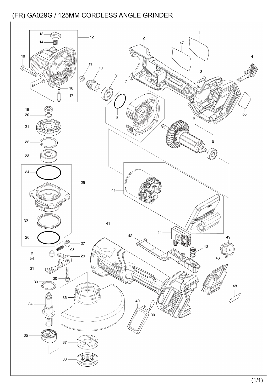![](_page_16_Figure_1.jpeg)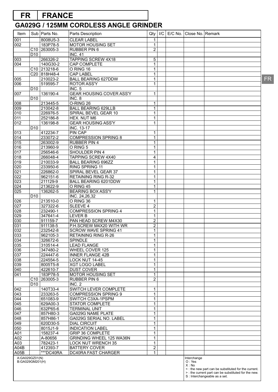# **FR FRANCE**

| Item                    |                                   | Sub   Parts No.          | Parts Description                      | Qty                     | I/C |  | E/C No. Close No. Remark       |                                                                                      |     |
|-------------------------|-----------------------------------|--------------------------|----------------------------------------|-------------------------|-----|--|--------------------------------|--------------------------------------------------------------------------------------|-----|
| 001                     |                                   | 8008U5-3                 | <b>CLEAR LABEL</b>                     | 1                       |     |  |                                |                                                                                      |     |
| 002                     |                                   | 183P78-5                 | <b>MOTOR HOUSING SET</b>               | 1                       |     |  |                                |                                                                                      |     |
|                         |                                   | C <sub>10</sub> 263005-3 | RUBBER PIN 6                           | $\overline{2}$          |     |  |                                |                                                                                      |     |
|                         | D <sub>10</sub>                   |                          | <b>INC. 41</b>                         |                         |     |  |                                |                                                                                      |     |
| 003                     |                                   | 266326-2                 | <b>TAPPING SCREW 4X18</b>              | 5                       |     |  |                                |                                                                                      |     |
| 004                     |                                   | 140G30-2                 | CAP COMPLETE                           | 1                       |     |  |                                |                                                                                      |     |
|                         |                                   | C <sub>10</sub> 213218-6 | O RING 16                              | 1                       |     |  |                                |                                                                                      |     |
|                         |                                   | C20 818H48-4             | <b>CAP LABEL</b>                       | 1                       |     |  |                                |                                                                                      |     |
| 005                     |                                   | 210023-2                 | <b>BALL BEARING 627DDW</b>             | $\mathbf 1$             |     |  |                                |                                                                                      | FR. |
| 006                     |                                   | 519595-7                 | <b>ROTOR ASS'Y</b>                     | 1                       |     |  |                                |                                                                                      |     |
|                         | D <sub>10</sub>                   |                          | <b>INC. 5</b>                          |                         |     |  |                                |                                                                                      |     |
| 007                     |                                   | 136190-4                 | <b>GEAR HOUSING COVER ASS'Y</b>        | $\mathbf{1}$            |     |  |                                |                                                                                      |     |
|                         | D <sub>10</sub>                   |                          | INC. 8                                 |                         |     |  |                                |                                                                                      |     |
| 008                     |                                   | 213445-5                 | O-RING 26                              | 1                       |     |  |                                |                                                                                      |     |
| 009                     |                                   | 210042-8                 | <b>BALL BEARING 629LLB</b>             | 1                       |     |  |                                |                                                                                      |     |
| 010                     |                                   | 226976-5                 | SPIRAL BEVEL GEAR 10                   | 1                       |     |  |                                |                                                                                      |     |
| 011                     |                                   | 252186-8                 | HEX. NUT M6                            | 1                       |     |  |                                |                                                                                      |     |
| 012                     |                                   | 136198-8                 | <b>GEAR HOUSING ASS'Y</b>              | 1                       |     |  |                                |                                                                                      |     |
|                         | D <sub>10</sub>                   |                          | INC. 13-17                             |                         |     |  |                                |                                                                                      |     |
| 013                     |                                   | 412234-7<br>233072-2     | <b>PIN CAP</b>                         | 1                       |     |  |                                |                                                                                      |     |
| 014                     |                                   |                          | <b>COMPRESSION SPRING 8</b>            | 1                       |     |  |                                |                                                                                      |     |
| 015                     |                                   | 263002-9                 | <b>RUBBER PIN 4</b>                    | 1                       |     |  |                                |                                                                                      |     |
| 016                     |                                   | 213960-9                 | O RING 5<br>SHOULDER PIN 4             | 1                       |     |  |                                |                                                                                      |     |
| 017                     |                                   | 256546-6                 | <b>TAPPING SCREW 4X40</b>              | 1                       |     |  |                                |                                                                                      |     |
| 018                     |                                   | 266048-4                 |                                        | 4                       |     |  |                                |                                                                                      |     |
| 019                     |                                   | 210033-9                 | <b>BALL BEARING 696ZZ</b>              | 1                       |     |  |                                |                                                                                      |     |
| 020                     |                                   | 233950-6                 | RING SPRING 11<br>SPIRAL BEVEL GEAR 37 | 1                       |     |  |                                |                                                                                      |     |
| 021                     |                                   | 226862-0                 | <b>RETAINING RING R-32</b>             | 1                       |     |  |                                |                                                                                      |     |
| $\overline{022}$        |                                   | 962151-6                 | BALL BEARING 6201DDW                   | 1                       |     |  |                                |                                                                                      |     |
| 023<br>$\overline{024}$ |                                   | 211129-9<br>213622-9     | O RING 45                              | 1                       |     |  |                                |                                                                                      |     |
| $\overline{025}$        |                                   | 136262-5                 | <b>BEARING BOX ASS'Y</b>               | 1<br>$\mathbf{1}$       |     |  |                                |                                                                                      |     |
|                         | D <sub>10</sub>                   |                          | <b>INC. 24,26,32</b>                   |                         |     |  |                                |                                                                                      |     |
| 026                     |                                   | 213510-0                 | O RING 36                              |                         |     |  |                                |                                                                                      |     |
| 027                     |                                   | 327322-6                 | <b>SLEEVE 4</b>                        | 1<br>$\overline{2}$     |     |  |                                |                                                                                      |     |
| 028                     |                                   | 232490-1                 | <b>COMPRESSION SPRING 4</b>            | 1                       |     |  |                                |                                                                                      |     |
| 029                     |                                   | 347641-4                 | <b>LEVER B</b>                         | 1                       |     |  |                                |                                                                                      |     |
| 030                     |                                   | 911159-7                 | PAN HEAD SCREW M4X30                   | $\overline{c}$          |     |  |                                |                                                                                      |     |
| 031                     |                                   | 911138-5                 | P.H.SCREW M4X20 WITH WR                | $\overline{2}$          |     |  |                                |                                                                                      |     |
| 032                     |                                   | 232542-8                 | <b>SCROW WAVE SPRING 41</b>            | $\mathbf{1}$            |     |  |                                |                                                                                      |     |
| 033                     |                                   | 962105-3                 | <b>RETAINING RING R-26</b>             | 1                       |     |  |                                |                                                                                      |     |
| 034                     |                                   | 326672-6                 | <b>SPINDLE</b>                         | 1                       |     |  |                                |                                                                                      |     |
| 035                     |                                   | 310514-4                 | <b>LEAD FLANGE</b>                     | $\mathbf{1}$            |     |  |                                |                                                                                      |     |
| 036                     |                                   | 347480-2                 | <b>WHEEL COVER 125</b>                 | 1                       |     |  |                                |                                                                                      |     |
| 037                     |                                   | 224447-6                 | <b>INNER FLANGE 42B</b>                | 1                       |     |  |                                |                                                                                      |     |
| 038                     |                                   | 224554-5                 | LOCK NUT 14-45                         | 1                       |     |  |                                |                                                                                      |     |
| 039                     |                                   | 8005T5-8                 | <b>XGT LOGO LABEL</b>                  | $\mathbf{1}$            |     |  |                                |                                                                                      |     |
| 040                     |                                   | 422610-7                 | <b>DUST COVER</b>                      | 1                       |     |  |                                |                                                                                      |     |
| 041                     |                                   | 183P78-5                 | <b>MOTOR HOUSING SET</b>               | $\mathbf 1$             |     |  |                                |                                                                                      |     |
|                         |                                   | C <sub>10</sub> 263005-3 | <b>RUBBER PIN 6</b>                    | $\overline{\mathbf{c}}$ |     |  |                                |                                                                                      |     |
|                         | D <sub>10</sub>                   |                          | INC. 2                                 |                         |     |  |                                |                                                                                      |     |
| 042                     |                                   | 140T33-4                 | SWITCH LEVER COMPLETE                  | 1                       |     |  |                                |                                                                                      |     |
| 043                     |                                   | 233263-5                 | <b>COMPRESSION SPRING 9</b>            | 1                       |     |  |                                |                                                                                      |     |
| 044                     |                                   | 651083-9                 | SWITCH C3XA-1PSPM                      | 1                       |     |  |                                |                                                                                      |     |
| 045                     |                                   | 629A00-3                 | STATOR COMPLETE                        | $\mathbf{1}$            |     |  |                                |                                                                                      |     |
| 046                     |                                   | 632P65-6                 | <b>TERMINAL UNIT</b>                   | 1                       |     |  |                                |                                                                                      |     |
| 047                     |                                   | 857H80-3                 | GA029G NAME PLATE                      | 1                       |     |  |                                |                                                                                      |     |
| 048                     |                                   | 857H86-1                 | GA029G SERIAL NO. LABEL                | 1                       |     |  |                                |                                                                                      |     |
| 049                     |                                   | 620D30-5                 | <b>DIAL CIRCUIT</b>                    | $\mathbf{1}$            |     |  |                                |                                                                                      |     |
| 050                     |                                   | 8015J1-9                 | <b>INDICATION LABEL</b>                | $\mathbf{1}$            |     |  |                                |                                                                                      |     |
| A01                     |                                   | 158237-4                 | <b>GRIP 36 COMPLETE</b>                | 1                       |     |  |                                |                                                                                      |     |
| A02                     |                                   | A-80656                  | GRINDING WHEEL 125 WA36N               | 1                       |     |  |                                |                                                                                      |     |
| A03                     |                                   | 782423-1                 | <b>LOCK NUT WRENCH 35</b>              | $\mathbf{1}$            |     |  |                                |                                                                                      |     |
| A04B                    |                                   | 412393-7                 | <b>BATTERY COVER</b>                   | $\overline{\mathbf{c}}$ |     |  |                                |                                                                                      |     |
| A05B                    |                                   | ***DC40RA                | DC40RA FAST CHARGER                    | $\mathbf{1}$            |     |  |                                |                                                                                      |     |
|                         | A:GA029GZ01(N)<br>B:GA029GM201(H) |                          |                                        |                         |     |  | Interchange<br>O: Yes<br>X: No | < : the new part can be substituted for the current.                                 |     |
|                         |                                   |                          |                                        |                         |     |  |                                | >: the current part can be substituted for the new.<br>S : Interchangeable as a set. |     |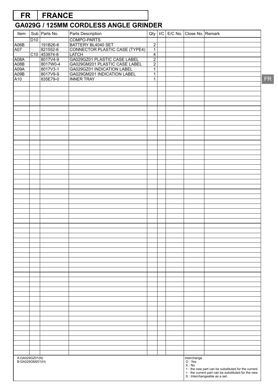# **FR FRANCE**

# **GA029G / 125MM CORDLESS ANGLE GRINDER**

| Item                              |     | Sub Parts No.        | Parts Description                                             | Qty                              | I/C |  | E/C No. Close No. Remark |                                                                                                                                             |
|-----------------------------------|-----|----------------------|---------------------------------------------------------------|----------------------------------|-----|--|--------------------------|---------------------------------------------------------------------------------------------------------------------------------------------|
|                                   | D10 |                      | COMPO-PARTS                                                   |                                  |     |  |                          |                                                                                                                                             |
| A <sub>06</sub> B                 |     | 191B26-6             | BATTERY BL4040 SET                                            | $\overline{2}$                   |     |  |                          |                                                                                                                                             |
| A07                               |     | 821552-6             | CONNECTOR PLASTIC CASE (TYPE4)                                | $\overline{1}$                   |     |  |                          |                                                                                                                                             |
|                                   |     | C10 453974-8         |                                                               | $\overline{4}$                   |     |  |                          |                                                                                                                                             |
| A08A<br>A08B                      |     | 8017V4-9<br>8017W0-4 | GA029GZ01 PLASTIC CASE LABEL<br>GA029GM201 PLASTIC CASE LABEL | $\overline{2}$<br>$\overline{2}$ |     |  |                          |                                                                                                                                             |
| A09A                              |     | 8017V3-1             |                                                               | $\overline{1}$                   |     |  |                          |                                                                                                                                             |
| A09B                              |     | 8017V9-9             | GA029GZ01 INDICATION LABEL<br>GA029GM201 INDICATION LABEL     | $\overline{1}$                   |     |  |                          |                                                                                                                                             |
| A10                               |     | 835E79-0             | <b>INNER TRAY</b>                                             | $\overline{1}$                   |     |  |                          |                                                                                                                                             |
|                                   |     |                      |                                                               |                                  |     |  |                          |                                                                                                                                             |
|                                   |     |                      |                                                               |                                  |     |  |                          |                                                                                                                                             |
|                                   |     |                      |                                                               |                                  |     |  |                          |                                                                                                                                             |
|                                   |     |                      |                                                               |                                  |     |  |                          |                                                                                                                                             |
|                                   |     |                      |                                                               |                                  |     |  |                          |                                                                                                                                             |
|                                   |     |                      |                                                               |                                  |     |  |                          |                                                                                                                                             |
|                                   |     |                      |                                                               |                                  |     |  |                          |                                                                                                                                             |
|                                   |     |                      |                                                               |                                  |     |  |                          |                                                                                                                                             |
|                                   |     |                      |                                                               |                                  |     |  |                          |                                                                                                                                             |
|                                   |     |                      |                                                               |                                  |     |  |                          |                                                                                                                                             |
|                                   |     |                      |                                                               |                                  |     |  |                          |                                                                                                                                             |
|                                   |     |                      |                                                               |                                  |     |  |                          |                                                                                                                                             |
|                                   |     |                      |                                                               |                                  |     |  |                          |                                                                                                                                             |
|                                   |     |                      |                                                               |                                  |     |  |                          |                                                                                                                                             |
|                                   |     |                      |                                                               |                                  |     |  |                          |                                                                                                                                             |
|                                   |     |                      |                                                               |                                  |     |  |                          |                                                                                                                                             |
|                                   |     |                      |                                                               |                                  |     |  |                          |                                                                                                                                             |
|                                   |     |                      |                                                               |                                  |     |  |                          |                                                                                                                                             |
|                                   |     |                      |                                                               |                                  |     |  |                          |                                                                                                                                             |
|                                   |     |                      |                                                               |                                  |     |  |                          |                                                                                                                                             |
|                                   |     |                      |                                                               |                                  |     |  |                          |                                                                                                                                             |
|                                   |     |                      |                                                               |                                  |     |  |                          |                                                                                                                                             |
|                                   |     |                      |                                                               |                                  |     |  |                          |                                                                                                                                             |
|                                   |     |                      |                                                               |                                  |     |  |                          |                                                                                                                                             |
|                                   |     |                      |                                                               |                                  |     |  |                          |                                                                                                                                             |
|                                   |     |                      |                                                               |                                  |     |  |                          |                                                                                                                                             |
|                                   |     |                      |                                                               |                                  |     |  |                          |                                                                                                                                             |
|                                   |     |                      |                                                               |                                  |     |  |                          |                                                                                                                                             |
|                                   |     |                      |                                                               |                                  |     |  |                          |                                                                                                                                             |
|                                   |     |                      |                                                               |                                  |     |  |                          |                                                                                                                                             |
|                                   |     |                      |                                                               |                                  |     |  |                          |                                                                                                                                             |
|                                   |     |                      |                                                               |                                  |     |  |                          |                                                                                                                                             |
|                                   |     |                      |                                                               |                                  |     |  |                          |                                                                                                                                             |
|                                   |     |                      |                                                               |                                  |     |  |                          |                                                                                                                                             |
|                                   |     |                      |                                                               |                                  |     |  |                          |                                                                                                                                             |
|                                   |     |                      |                                                               |                                  |     |  |                          |                                                                                                                                             |
|                                   |     |                      |                                                               |                                  |     |  |                          |                                                                                                                                             |
|                                   |     |                      |                                                               |                                  |     |  |                          |                                                                                                                                             |
|                                   |     |                      |                                                               |                                  |     |  |                          |                                                                                                                                             |
|                                   |     |                      |                                                               |                                  |     |  |                          |                                                                                                                                             |
|                                   |     |                      |                                                               |                                  |     |  |                          |                                                                                                                                             |
|                                   |     |                      |                                                               |                                  |     |  |                          |                                                                                                                                             |
|                                   |     |                      |                                                               |                                  |     |  |                          |                                                                                                                                             |
|                                   |     |                      |                                                               |                                  |     |  |                          |                                                                                                                                             |
|                                   |     |                      |                                                               |                                  |     |  |                          |                                                                                                                                             |
|                                   |     |                      |                                                               |                                  |     |  |                          |                                                                                                                                             |
|                                   |     |                      |                                                               |                                  |     |  |                          |                                                                                                                                             |
|                                   |     |                      |                                                               |                                  |     |  |                          |                                                                                                                                             |
|                                   |     |                      |                                                               |                                  |     |  |                          |                                                                                                                                             |
|                                   |     |                      |                                                               |                                  |     |  |                          |                                                                                                                                             |
|                                   |     |                      |                                                               |                                  |     |  | Interchange<br>O : Yes   |                                                                                                                                             |
| A:GA029GZ01(N)<br>B:GA029GM201(H) |     |                      |                                                               |                                  |     |  | X : No                   |                                                                                                                                             |
|                                   |     |                      |                                                               |                                  |     |  |                          |                                                                                                                                             |
|                                   |     |                      |                                                               |                                  |     |  |                          | S: the new part can be substituted for the current.<br>> : the current part can be substituted for the new.<br>S: Interchangeable as a set. |
|                                   |     |                      |                                                               |                                  |     |  |                          |                                                                                                                                             |

FR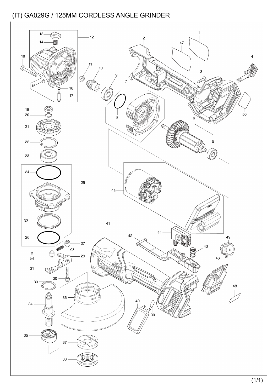![](_page_19_Figure_1.jpeg)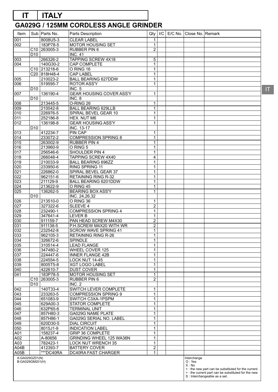# **IT ITALY**

# **GA029G / 125MM CORDLESS ANGLE GRINDER**

| Item                              |                 | Sub   Parts No.          | Parts Description                              | Qty                         | /C |  | E/C No.   Close No.   Remark   |                                                                                                                                             |
|-----------------------------------|-----------------|--------------------------|------------------------------------------------|-----------------------------|----|--|--------------------------------|---------------------------------------------------------------------------------------------------------------------------------------------|
| 001                               |                 | 8008U5-3                 | <b>CLEAR LABEL</b>                             | 1                           |    |  |                                |                                                                                                                                             |
| 002                               |                 | 183P78-5                 | MOTOR HOUSING SET                              | $\mathbf{1}$                |    |  |                                |                                                                                                                                             |
|                                   |                 | C <sub>10</sub> 263005-3 | <b>RUBBER PIN 6</b>                            | $\overline{2}$              |    |  |                                |                                                                                                                                             |
|                                   | D <sub>10</sub> |                          | <b>INC. 41</b>                                 |                             |    |  |                                |                                                                                                                                             |
| 003                               |                 | 266326-2                 | <b>TAPPING SCREW 4X18</b>                      | 5                           |    |  |                                |                                                                                                                                             |
| 004                               |                 | 140G30-2                 | CAP COMPLETE                                   | $\mathbf{1}$                |    |  |                                |                                                                                                                                             |
|                                   |                 | C <sub>10</sub> 213218-6 | O RING 16                                      | $\mathbf 1$                 |    |  |                                |                                                                                                                                             |
| 005                               |                 | C20 818H48-4<br>210023-2 | <b>CAP LABEL</b><br><b>BALL BEARING 627DDW</b> | $\mathbf{1}$<br>$\mathbf 1$ |    |  |                                |                                                                                                                                             |
| 006                               |                 | 519595-7                 | <b>ROTOR ASS'Y</b>                             | $\mathbf{1}$                |    |  |                                |                                                                                                                                             |
|                                   | D <sub>10</sub> |                          | <b>INC. 5</b>                                  |                             |    |  |                                |                                                                                                                                             |
| 007                               |                 | 136190-4                 | <b>GEAR HOUSING COVER ASS'Y</b>                | $\mathbf{1}$                |    |  |                                |                                                                                                                                             |
|                                   | D <sub>10</sub> |                          | INC. 8                                         |                             |    |  |                                |                                                                                                                                             |
| 008                               |                 | 213445-5                 | O-RING 26                                      | $\mathbf{1}$                |    |  |                                |                                                                                                                                             |
| 009                               |                 | 210042-8                 | <b>BALL BEARING 629LLB</b>                     | $\mathbf{1}$                |    |  |                                |                                                                                                                                             |
| 010                               |                 | 226976-5                 | SPIRAL BEVEL GEAR 10                           | $\mathbf{1}$                |    |  |                                |                                                                                                                                             |
| 011                               |                 | 252186-8                 | HEX. NUT M6                                    | $\mathbf{1}$                |    |  |                                |                                                                                                                                             |
| 012                               |                 | 136198-8                 | <b>GEAR HOUSING ASS'Y</b>                      | $\mathbf{1}$                |    |  |                                |                                                                                                                                             |
|                                   | D <sub>10</sub> |                          | INC. 13-17                                     |                             |    |  |                                |                                                                                                                                             |
| 013<br>014                        |                 | 412234-7<br>233072-2     | PIN CAP<br><b>COMPRESSION SPRING 8</b>         | $\mathbf 1$<br>$\mathbf 1$  |    |  |                                |                                                                                                                                             |
| 015                               |                 | 263002-9                 | <b>RUBBER PIN 4</b>                            | $\mathbf 1$                 |    |  |                                |                                                                                                                                             |
| 016                               |                 | 213960-9                 | O RING 5                                       | $\mathbf 1$                 |    |  |                                |                                                                                                                                             |
| 017                               |                 | 256546-6                 | SHOULDER PIN 4                                 | 1                           |    |  |                                |                                                                                                                                             |
| 018                               |                 | 266048-4                 | TAPPING SCREW 4X40                             | 4                           |    |  |                                |                                                                                                                                             |
| 019                               |                 | 210033-9                 | <b>BALL BEARING 696ZZ</b>                      | $\mathbf 1$                 |    |  |                                |                                                                                                                                             |
| 020                               |                 | 233950-6                 | RING SPRING 11                                 | $\mathbf 1$                 |    |  |                                |                                                                                                                                             |
| 021                               |                 | 226862-0                 | SPIRAL BEVEL GEAR 37                           | $\mathbf 1$                 |    |  |                                |                                                                                                                                             |
| 022                               |                 | 962151-6                 | <b>RETAINING RING R-32</b>                     | 1                           |    |  |                                |                                                                                                                                             |
| 023                               |                 | 211129-9                 | BALL BEARING 6201DDW                           | $\mathbf 1$                 |    |  |                                |                                                                                                                                             |
| 024                               |                 | 213622-9                 | O RING 45                                      | $\mathbf{1}$                |    |  |                                |                                                                                                                                             |
| $\overline{025}$                  |                 | 136262-5                 | <b>BEARING BOX ASS'Y</b>                       | $\mathbf{1}$                |    |  |                                |                                                                                                                                             |
| 026                               | D <sub>10</sub> | 213510-0                 | INC. 24,26,32<br>O RING 36                     | $\mathbf 1$                 |    |  |                                |                                                                                                                                             |
| 027                               |                 | 327322-6                 | SLEEVE 4                                       | $\overline{2}$              |    |  |                                |                                                                                                                                             |
| 028                               |                 | 232490-1                 | <b>COMPRESSION SPRING 4</b>                    | $\mathbf{1}$                |    |  |                                |                                                                                                                                             |
| 029                               |                 | 347641-4                 | <b>LEVER B</b>                                 | $\mathbf 1$                 |    |  |                                |                                                                                                                                             |
| 030                               |                 | 911159-7                 | PAN HEAD SCREW M4X30                           | $\overline{2}$              |    |  |                                |                                                                                                                                             |
| 031                               |                 | 911138-5                 | P.H.SCREW M4X20 WITH WR                        | $\overline{2}$              |    |  |                                |                                                                                                                                             |
| 032                               |                 | 232542-8                 | <b>SCROW WAVE SPRING 41</b>                    | $\mathbf{1}$                |    |  |                                |                                                                                                                                             |
| 033                               |                 | 962105-3                 | <b>RETAINING RING R-26</b>                     | $\mathbf{1}$                |    |  |                                |                                                                                                                                             |
| 034                               |                 | 326672-6                 | SPINDLE                                        | $\mathbf{1}$                |    |  |                                |                                                                                                                                             |
| 035                               |                 | 310514-4                 | <b>LEAD FLANGE</b>                             | $\mathbf{1}$                |    |  |                                |                                                                                                                                             |
| 036<br>037                        |                 | 347480-2<br>224447-6     | WHEEL COVER 125<br><b>INNER FLANGE 42B</b>     | $\mathbf 1$<br>$\mathbf 1$  |    |  |                                |                                                                                                                                             |
| 038                               |                 | 224554-5                 | LOCK NUT 14-45                                 | $\mathbf 1$                 |    |  |                                |                                                                                                                                             |
| 039                               |                 | 8005T5-8                 | <b>XGT LOGO LABEL</b>                          | $\mathbf{1}$                |    |  |                                |                                                                                                                                             |
| 040                               |                 | 422610-7                 | <b>DUST COVER</b>                              | $\mathbf 1$                 |    |  |                                |                                                                                                                                             |
| 041                               |                 | 183P78-5                 | <b>MOTOR HOUSING SET</b>                       | $\mathbf{1}$                |    |  |                                |                                                                                                                                             |
|                                   | C <sub>10</sub> | 263005-3                 | <b>RUBBER PIN 6</b>                            | $\overline{2}$              |    |  |                                |                                                                                                                                             |
|                                   | D <sub>10</sub> |                          | INC. 2                                         |                             |    |  |                                |                                                                                                                                             |
| 042                               |                 | 140T33-4                 | SWITCH LEVER COMPLETE                          | $\mathbf 1$                 |    |  |                                |                                                                                                                                             |
| 043                               |                 | 233263-5                 | <b>COMPRESSION SPRING 9</b>                    | $\mathbf 1$                 |    |  |                                |                                                                                                                                             |
| 044                               |                 | 651083-9                 | SWITCH C3XA-1PSPM                              | $\mathbf 1$                 |    |  |                                |                                                                                                                                             |
| 045<br>046                        |                 | 629A00-3<br>632P65-6     | <b>STATOR COMPLETE</b><br><b>TERMINAL UNIT</b> | $\mathbf{1}$<br>$\mathbf 1$ |    |  |                                |                                                                                                                                             |
| 047                               |                 | 857H80-3                 | GA029G NAME PLATE                              | $\mathbf{1}$                |    |  |                                |                                                                                                                                             |
| 048                               |                 | 857H86-1                 | GA029G SERIAL NO. LABEL                        | $\mathbf{1}$                |    |  |                                |                                                                                                                                             |
| 049                               |                 | 620D30-5                 | <b>DIAL CIRCUIT</b>                            | $\mathbf{1}$                |    |  |                                |                                                                                                                                             |
| 050                               |                 | 8015J1-9                 | <b>INDICATION LABEL</b>                        | $\mathbf 1$                 |    |  |                                |                                                                                                                                             |
| A01                               |                 | 158237-4                 | <b>GRIP 36 COMPLETE</b>                        | $\mathbf 1$                 |    |  |                                |                                                                                                                                             |
| A02                               |                 | A-80656                  | GRINDING WHEEL 125 WA36N                       | $\mathbf 1$                 |    |  |                                |                                                                                                                                             |
| A03                               |                 | 782423-1                 | <b>LOCK NUT WRENCH 35</b>                      | $\mathbf{1}$                |    |  |                                |                                                                                                                                             |
| A04B                              |                 | 412393-7                 | <b>BATTERY COVER</b>                           | $\overline{2}$              |    |  |                                |                                                                                                                                             |
| A05B                              |                 | ***DC40RA                | DC40RA FAST CHARGER                            | $\mathbf{1}$                |    |  |                                |                                                                                                                                             |
| A:GA029GZ01(N)<br>B:GA029GM201(H) |                 |                          |                                                |                             |    |  | Interchange<br>O: Yes<br>X: No | <: the new part can be substituted for the current.<br>>: the current part can be substituted for the new.<br>S : Interchangeable as a set. |

IT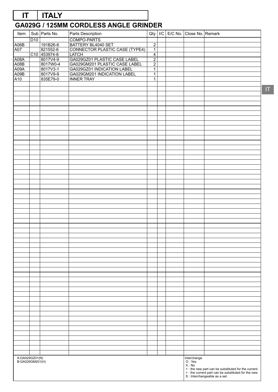# **GA029G / 125MM CORDLESS ANGLE GRINDER IT ITALY**

| Item            |                 | Sub Parts No.        | Parts Description                                           | Qty                              |  | I/C E/C No. Close No. Remark |                                                                                                                                             |
|-----------------|-----------------|----------------------|-------------------------------------------------------------|----------------------------------|--|------------------------------|---------------------------------------------------------------------------------------------------------------------------------------------|
|                 | D <sub>10</sub> |                      | COMPO-PARTS                                                 |                                  |  |                              |                                                                                                                                             |
| A06B            |                 | 191B26-6             | BATTERY BL4040 SET<br>CONNECTOR PLASTIC CASE (TYPE4)        | $\overline{2}$                   |  |                              |                                                                                                                                             |
| A07             |                 | 821552-6             |                                                             | $\overline{1}$                   |  |                              |                                                                                                                                             |
|                 |                 | C10 453974-8         | <b>LATCH</b>                                                | $\overline{4}$                   |  |                              |                                                                                                                                             |
| A08A            |                 | 8017V4-9             | GA029GZ01 PLASTIC CASE LABEL                                | $\overline{2}$                   |  |                              |                                                                                                                                             |
| A08B<br>A09A    |                 | 8017W0-4<br>8017V3-1 | GA029GM201 PLASTIC CASE LABEL<br>GA029GZ01 INDICATION LABEL | $\overline{2}$<br>$\overline{1}$ |  |                              |                                                                                                                                             |
| A09B            |                 | 8017V9-9             | GA029GM201 INDICATION LABEL                                 | $\overline{1}$                   |  |                              |                                                                                                                                             |
| A10             |                 | 835E79-0             | <b>INNER TRAY</b>                                           | $\mathbf{1}$                     |  |                              |                                                                                                                                             |
|                 |                 |                      |                                                             |                                  |  |                              |                                                                                                                                             |
|                 |                 |                      |                                                             |                                  |  |                              |                                                                                                                                             |
|                 |                 |                      |                                                             |                                  |  |                              |                                                                                                                                             |
|                 |                 |                      |                                                             |                                  |  |                              |                                                                                                                                             |
|                 |                 |                      |                                                             |                                  |  |                              |                                                                                                                                             |
|                 |                 |                      |                                                             |                                  |  |                              |                                                                                                                                             |
|                 |                 |                      |                                                             |                                  |  |                              |                                                                                                                                             |
|                 |                 |                      |                                                             |                                  |  |                              |                                                                                                                                             |
|                 |                 |                      |                                                             |                                  |  |                              |                                                                                                                                             |
|                 |                 |                      |                                                             |                                  |  |                              |                                                                                                                                             |
|                 |                 |                      |                                                             |                                  |  |                              |                                                                                                                                             |
|                 |                 |                      |                                                             |                                  |  |                              |                                                                                                                                             |
|                 |                 |                      |                                                             |                                  |  |                              |                                                                                                                                             |
|                 |                 |                      |                                                             |                                  |  |                              |                                                                                                                                             |
|                 |                 |                      |                                                             |                                  |  |                              |                                                                                                                                             |
|                 |                 |                      |                                                             |                                  |  |                              |                                                                                                                                             |
|                 |                 |                      |                                                             |                                  |  |                              |                                                                                                                                             |
|                 |                 |                      |                                                             |                                  |  |                              |                                                                                                                                             |
|                 |                 |                      |                                                             |                                  |  |                              |                                                                                                                                             |
|                 |                 |                      |                                                             |                                  |  |                              |                                                                                                                                             |
|                 |                 |                      |                                                             |                                  |  |                              |                                                                                                                                             |
|                 |                 |                      |                                                             |                                  |  |                              |                                                                                                                                             |
|                 |                 |                      |                                                             |                                  |  |                              |                                                                                                                                             |
|                 |                 |                      |                                                             |                                  |  |                              |                                                                                                                                             |
|                 |                 |                      |                                                             |                                  |  |                              |                                                                                                                                             |
|                 |                 |                      |                                                             |                                  |  |                              |                                                                                                                                             |
|                 |                 |                      |                                                             |                                  |  |                              |                                                                                                                                             |
|                 |                 |                      |                                                             |                                  |  |                              |                                                                                                                                             |
|                 |                 |                      |                                                             |                                  |  |                              |                                                                                                                                             |
|                 |                 |                      |                                                             |                                  |  |                              |                                                                                                                                             |
|                 |                 |                      |                                                             |                                  |  |                              |                                                                                                                                             |
|                 |                 |                      |                                                             |                                  |  |                              |                                                                                                                                             |
|                 |                 |                      |                                                             |                                  |  |                              |                                                                                                                                             |
|                 |                 |                      |                                                             |                                  |  |                              |                                                                                                                                             |
|                 |                 |                      |                                                             |                                  |  |                              |                                                                                                                                             |
|                 |                 |                      |                                                             |                                  |  |                              |                                                                                                                                             |
|                 |                 |                      |                                                             |                                  |  |                              |                                                                                                                                             |
|                 |                 |                      |                                                             |                                  |  |                              |                                                                                                                                             |
|                 |                 |                      |                                                             |                                  |  |                              |                                                                                                                                             |
|                 |                 |                      |                                                             |                                  |  |                              |                                                                                                                                             |
|                 |                 |                      |                                                             |                                  |  |                              |                                                                                                                                             |
|                 |                 |                      |                                                             |                                  |  |                              |                                                                                                                                             |
|                 |                 |                      |                                                             |                                  |  |                              |                                                                                                                                             |
|                 |                 |                      |                                                             |                                  |  |                              |                                                                                                                                             |
|                 |                 |                      |                                                             |                                  |  |                              |                                                                                                                                             |
|                 |                 |                      |                                                             |                                  |  |                              |                                                                                                                                             |
|                 |                 |                      |                                                             |                                  |  |                              |                                                                                                                                             |
|                 |                 |                      |                                                             |                                  |  |                              |                                                                                                                                             |
|                 |                 |                      |                                                             |                                  |  |                              |                                                                                                                                             |
|                 |                 |                      |                                                             |                                  |  |                              |                                                                                                                                             |
|                 |                 |                      |                                                             |                                  |  |                              |                                                                                                                                             |
|                 |                 |                      |                                                             |                                  |  |                              |                                                                                                                                             |
| A:GA029GZ01(N)  |                 |                      |                                                             |                                  |  |                              |                                                                                                                                             |
| B:GA029GM201(H) |                 |                      |                                                             |                                  |  | Interchange<br>O:Yes         |                                                                                                                                             |
|                 |                 |                      |                                                             |                                  |  | X: No                        |                                                                                                                                             |
|                 |                 |                      |                                                             |                                  |  |                              | S: the new part can be substituted for the current.<br>> : the current part can be substituted for the new.<br>S: Interchangeable as a set. |
|                 |                 |                      |                                                             |                                  |  |                              |                                                                                                                                             |

 $\mathbf{I}\mathbf{T}$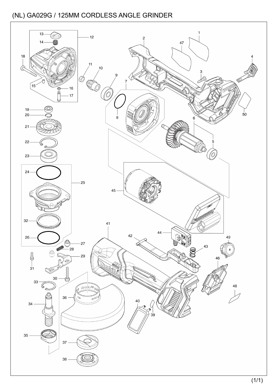![](_page_22_Figure_1.jpeg)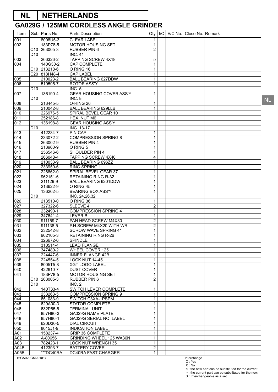# **NL NETHERLANDS**

# **GA029G / 125MM CORDLESS ANGLE GRINDER**

| Item                    |                 | Sub   Parts No.                      | Parts Description                                      | Qty                            | /C | E/C No.   Close No.   Remark   |                                                                                                                                               |
|-------------------------|-----------------|--------------------------------------|--------------------------------------------------------|--------------------------------|----|--------------------------------|-----------------------------------------------------------------------------------------------------------------------------------------------|
| 001                     |                 | 8008U5-3                             | <b>CLEAR LABEL</b>                                     | 1                              |    |                                |                                                                                                                                               |
| 002                     |                 | 183P78-5                             | MOTOR HOUSING SET                                      | $\mathbf{1}$                   |    |                                |                                                                                                                                               |
|                         |                 | C <sub>10</sub> 263005-3             | RUBBER PIN 6                                           | $\overline{2}$                 |    |                                |                                                                                                                                               |
|                         | D <sub>10</sub> |                                      | <b>INC. 41</b>                                         |                                |    |                                |                                                                                                                                               |
| 003                     |                 | 266326-2                             | TAPPING SCREW 4X18                                     | 5                              |    |                                |                                                                                                                                               |
| 004                     |                 | 140G30-2<br>C <sub>10</sub> 213218-6 | CAP COMPLETE<br>O RING 16                              | $\mathbf{1}$<br>$\mathbf{1}$   |    |                                |                                                                                                                                               |
|                         |                 | C20 818H48-4                         | <b>CAP LABEL</b>                                       | $\mathbf{1}$                   |    |                                |                                                                                                                                               |
| 005                     |                 | 210023-2                             | <b>BALL BEARING 627DDW</b>                             | $\mathbf{1}$                   |    |                                |                                                                                                                                               |
| 006                     |                 | 519595-7                             | <b>ROTOR ASS'Y</b>                                     | $\overline{1}$                 |    |                                |                                                                                                                                               |
|                         | D <sub>10</sub> |                                      | INC. 5                                                 |                                |    |                                |                                                                                                                                               |
| 007                     |                 | 136190-4                             | <b>GEAR HOUSING COVER ASS'Y</b>                        | $\mathbf{1}$                   |    |                                |                                                                                                                                               |
|                         | D <sub>10</sub> |                                      | INC. 8                                                 |                                |    |                                |                                                                                                                                               |
| 008                     |                 | 213445-5                             | O-RING 26                                              | $\mathbf{1}$                   |    |                                |                                                                                                                                               |
| 009                     |                 | 210042-8                             | <b>BALL BEARING 629LLB</b>                             | $\mathbf{1}$                   |    |                                |                                                                                                                                               |
| 010                     |                 | 226976-5                             | SPIRAL BEVEL GEAR 10                                   | $\mathbf{1}$                   |    |                                |                                                                                                                                               |
| 011<br>$\overline{012}$ |                 | 252186-8<br>136198-8                 | HEX. NUT M6<br><b>GEAR HOUSING ASS'Y</b>               | 1<br>$\overline{1}$            |    |                                |                                                                                                                                               |
|                         | D <sub>10</sub> |                                      | INC. 13-17                                             |                                |    |                                |                                                                                                                                               |
| 013                     |                 | 412234-7                             | <b>PIN CAP</b>                                         | $\mathbf{1}$                   |    |                                |                                                                                                                                               |
| 014                     |                 | 233072-2                             | <b>COMPRESSION SPRING 8</b>                            | 1                              |    |                                |                                                                                                                                               |
| 015                     |                 | 263002-9                             | <b>RUBBER PIN 4</b>                                    | $\overline{1}$                 |    |                                |                                                                                                                                               |
| 016                     |                 | 213960-9                             | O RING 5                                               | $\mathbf{1}$                   |    |                                |                                                                                                                                               |
| 017                     |                 | 256546-6                             | SHOULDER PIN 4                                         | $\mathbf{1}$                   |    |                                |                                                                                                                                               |
| 018                     |                 | 266048-4                             | TAPPING SCREW 4X40                                     | 4                              |    |                                |                                                                                                                                               |
| 019                     |                 | 210033-9                             | <b>BALL BEARING 696ZZ</b>                              | $\mathbf 1$                    |    |                                |                                                                                                                                               |
| 020                     |                 | 233950-6                             | <b>RING SPRING 11</b>                                  | $\mathbf{1}$                   |    |                                |                                                                                                                                               |
| 021                     |                 | 226862-0                             | SPIRAL BEVEL GEAR 37                                   | $\mathbf{1}$                   |    |                                |                                                                                                                                               |
| 022<br>$\overline{023}$ |                 | 962151-6<br>211129-9                 | <b>RETAINING RING R-32</b><br>BALL BEARING 6201DDW     | $\mathbf{1}$<br>$\overline{1}$ |    |                                |                                                                                                                                               |
| 024                     |                 | 213622-9                             | O RING 45                                              | $\mathbf{1}$                   |    |                                |                                                                                                                                               |
| $\overline{025}$        |                 | 136262-5                             | <b>BEARING BOX ASS'Y</b>                               | $\mathbf{1}$                   |    |                                |                                                                                                                                               |
|                         | D <sub>10</sub> |                                      | INC. 24,26,32                                          |                                |    |                                |                                                                                                                                               |
| 026                     |                 | 213510-0                             | O RING 36                                              | $\mathbf{1}$                   |    |                                |                                                                                                                                               |
| 027                     |                 | 327322-6                             | SLEEVE 4                                               | $\overline{2}$                 |    |                                |                                                                                                                                               |
| 028                     |                 | 232490-1                             | <b>COMPRESSION SPRING 4</b>                            | $\mathbf{1}$                   |    |                                |                                                                                                                                               |
| 029                     |                 | 347641-4                             | <b>LEVER B</b>                                         | $\mathbf{1}$                   |    |                                |                                                                                                                                               |
| 030                     |                 | 911159-7                             | PAN HEAD SCREW M4X30                                   | $\overline{2}$                 |    |                                |                                                                                                                                               |
| 031<br>032              |                 | 911138-5                             | P.H.SCREW M4X20 WITH WR<br><b>SCROW WAVE SPRING 41</b> | $\overline{c}$<br>$\mathbf{1}$ |    |                                |                                                                                                                                               |
| 033                     |                 | 232542-8<br>962105-3                 | <b>RETAINING RING R-26</b>                             | $\mathbf{1}$                   |    |                                |                                                                                                                                               |
| 034                     |                 | 326672-6                             | SPINDLE                                                | $\mathbf 1$                    |    |                                |                                                                                                                                               |
| 035                     |                 | 310514-4                             | <b>LEAD FLANGE</b>                                     | $\mathbf{1}$                   |    |                                |                                                                                                                                               |
| 036                     |                 | 347480-2                             | WHEEL COVER 125                                        | 1                              |    |                                |                                                                                                                                               |
| 037                     |                 | 224447-6                             | <b>INNER FLANGE 42B</b>                                | $\mathbf{1}$                   |    |                                |                                                                                                                                               |
| 038                     |                 | 224554-5                             | LOCK NUT 14-45                                         | $\mathbf{1}$                   |    |                                |                                                                                                                                               |
| 039                     |                 | 8005T5-8                             | <b>XGT LOGO LABEL</b>                                  | $\mathbf{1}$                   |    |                                |                                                                                                                                               |
| 040                     |                 | 422610-7                             | <b>DUST COVER</b>                                      | $\mathbf{1}$                   |    |                                |                                                                                                                                               |
| 041                     | C <sub>10</sub> | 183P78-5<br>263005-3                 | <b>MOTOR HOUSING SET</b><br><b>RUBBER PIN 6</b>        | $\mathbf 1$<br>$\overline{c}$  |    |                                |                                                                                                                                               |
|                         | D <sub>10</sub> |                                      | INC. 2                                                 |                                |    |                                |                                                                                                                                               |
| 042                     |                 | 140T33-4                             | SWITCH LEVER COMPLETE                                  | 1                              |    |                                |                                                                                                                                               |
| 043                     |                 | 233263-5                             | <b>COMPRESSION SPRING 9</b>                            | $\mathbf 1$                    |    |                                |                                                                                                                                               |
| 044                     |                 | 651083-9                             | SWITCH C3XA-1PSPM                                      | $\mathbf{1}$                   |    |                                |                                                                                                                                               |
| 045                     |                 | 629A00-3                             | STATOR COMPLETE                                        | $\mathbf{1}$                   |    |                                |                                                                                                                                               |
| 046                     |                 | 632P65-6                             | <b>TERMINAL UNIT</b>                                   | $\mathbf{1}$                   |    |                                |                                                                                                                                               |
| 047                     |                 | 857H80-3                             | GA029G NAME PLATE                                      | $\mathbf{1}$                   |    |                                |                                                                                                                                               |
| 048                     |                 | 857H86-1                             | GA029G SERIAL NO. LABEL                                | $\mathbf{1}$                   |    |                                |                                                                                                                                               |
| 049<br>050              |                 | 620D30-5<br>8015J1-9                 | <b>DIAL CIRCUIT</b><br><b>INDICATION LABEL</b>         | $\mathbf{1}$<br>1              |    |                                |                                                                                                                                               |
| A01                     |                 | 158237-4                             | <b>GRIP 36 COMPLETE</b>                                | $\mathbf 1$                    |    |                                |                                                                                                                                               |
| A02                     |                 | A-80656                              | GRINDING WHEEL 125 WA36N                               | $\mathbf{1}$                   |    |                                |                                                                                                                                               |
| A03                     |                 | 782423-1                             | <b>LOCK NUT WRENCH 35</b>                              | $\mathbf{1}$                   |    |                                |                                                                                                                                               |
| A04B                    |                 | 412393-7                             | <b>BATTERY COVER</b>                                   | $\overline{2}$                 |    |                                |                                                                                                                                               |
| A05B                    |                 | ***DC40RA                            | DC40RA FAST CHARGER                                    | 1                              |    |                                |                                                                                                                                               |
| B:GA029GM201(H)         |                 |                                      |                                                        |                                |    | Interchange<br>O: Yes<br>X: No | < : the new part can be substituted for the current.<br>> : the current part can be substituted for the new.<br>S : Interchangeable as a set. |

NL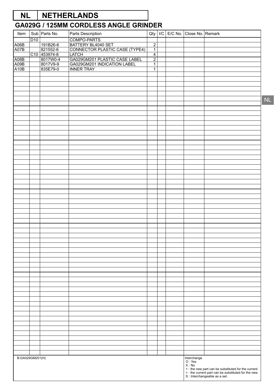# **NL NETHERLANDS**

| Item            |                 | Sub Parts No.            | Parts Description                                    |                                  |  | Qty   I/C   E/C No.   Close No.   Remark |  |
|-----------------|-----------------|--------------------------|------------------------------------------------------|----------------------------------|--|------------------------------------------|--|
|                 | D <sub>10</sub> |                          | COMPO-PARTS                                          |                                  |  |                                          |  |
| A06B            |                 | 191B26-6                 | BATTERY BL4040 SET<br>CONNECTOR PLASTIC CASE (TYPE4) | $\overline{2}$                   |  |                                          |  |
| A07B            |                 | 821552-6                 |                                                      | $\overline{1}$                   |  |                                          |  |
| A08B            |                 | C10 453974-8<br>8017W0-4 | LATCH<br>GA029GM201 PLASTIC CASE LABEL               | $\overline{4}$<br>$\overline{2}$ |  |                                          |  |
| A09B            |                 | 8017V9-9                 | GA029GM201 INDICATION LABEL                          | $\overline{1}$                   |  |                                          |  |
| A10B            |                 | 835E79-0                 | <b>INNER TRAY</b>                                    | $\mathbf{1}$                     |  |                                          |  |
|                 |                 |                          |                                                      |                                  |  |                                          |  |
|                 |                 |                          |                                                      |                                  |  |                                          |  |
|                 |                 |                          |                                                      |                                  |  |                                          |  |
|                 |                 |                          |                                                      |                                  |  |                                          |  |
|                 |                 |                          |                                                      |                                  |  |                                          |  |
|                 |                 |                          |                                                      |                                  |  |                                          |  |
|                 |                 |                          |                                                      |                                  |  |                                          |  |
|                 |                 |                          |                                                      |                                  |  |                                          |  |
|                 |                 |                          |                                                      |                                  |  |                                          |  |
|                 |                 |                          |                                                      |                                  |  |                                          |  |
|                 |                 |                          |                                                      |                                  |  |                                          |  |
|                 |                 |                          |                                                      |                                  |  |                                          |  |
|                 |                 |                          |                                                      |                                  |  |                                          |  |
|                 |                 |                          |                                                      |                                  |  |                                          |  |
|                 |                 |                          |                                                      |                                  |  |                                          |  |
|                 |                 |                          |                                                      |                                  |  |                                          |  |
|                 |                 |                          |                                                      |                                  |  |                                          |  |
|                 |                 |                          |                                                      |                                  |  |                                          |  |
|                 |                 |                          |                                                      |                                  |  |                                          |  |
|                 |                 |                          |                                                      |                                  |  |                                          |  |
|                 |                 |                          |                                                      |                                  |  |                                          |  |
|                 |                 |                          |                                                      |                                  |  |                                          |  |
|                 |                 |                          |                                                      |                                  |  |                                          |  |
|                 |                 |                          |                                                      |                                  |  |                                          |  |
|                 |                 |                          |                                                      |                                  |  |                                          |  |
|                 |                 |                          |                                                      |                                  |  |                                          |  |
|                 |                 |                          |                                                      |                                  |  |                                          |  |
|                 |                 |                          |                                                      |                                  |  |                                          |  |
|                 |                 |                          |                                                      |                                  |  |                                          |  |
|                 |                 |                          |                                                      |                                  |  |                                          |  |
|                 |                 |                          |                                                      |                                  |  |                                          |  |
|                 |                 |                          |                                                      |                                  |  |                                          |  |
|                 |                 |                          |                                                      |                                  |  |                                          |  |
|                 |                 |                          |                                                      |                                  |  |                                          |  |
|                 |                 |                          |                                                      |                                  |  |                                          |  |
|                 |                 |                          |                                                      |                                  |  |                                          |  |
|                 |                 |                          |                                                      |                                  |  |                                          |  |
|                 |                 |                          |                                                      |                                  |  |                                          |  |
|                 |                 |                          |                                                      |                                  |  |                                          |  |
|                 |                 |                          |                                                      |                                  |  |                                          |  |
|                 |                 |                          |                                                      |                                  |  |                                          |  |
|                 |                 |                          |                                                      |                                  |  |                                          |  |
|                 |                 |                          |                                                      |                                  |  |                                          |  |
|                 |                 |                          |                                                      |                                  |  |                                          |  |
|                 |                 |                          |                                                      |                                  |  |                                          |  |
|                 |                 |                          |                                                      |                                  |  |                                          |  |
|                 |                 |                          |                                                      |                                  |  |                                          |  |
|                 |                 |                          |                                                      |                                  |  |                                          |  |
|                 |                 |                          |                                                      |                                  |  |                                          |  |
|                 |                 |                          |                                                      |                                  |  |                                          |  |
| B:GA029GM201(H) |                 |                          |                                                      |                                  |  |                                          |  |
|                 |                 |                          |                                                      |                                  |  | Interchange<br>O : Yes<br>X : No         |  |
|                 |                 |                          |                                                      |                                  |  |                                          |  |
|                 |                 |                          |                                                      |                                  |  |                                          |  |
|                 |                 |                          |                                                      |                                  |  |                                          |  |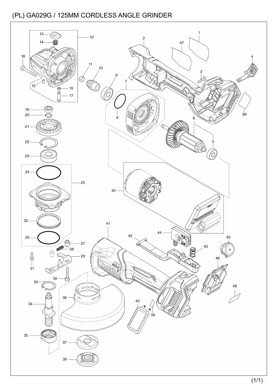![](_page_25_Figure_1.jpeg)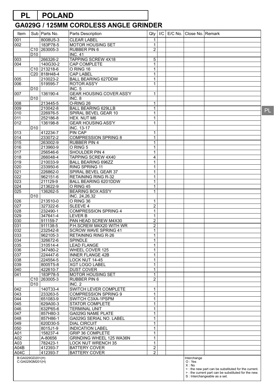# **PL POLAND**

| Item       |                                    | Sub   Parts No.          | Parts Description                                | Qty                         | /C |  | E/C No. Close No. Remark         |                                                                                                             |
|------------|------------------------------------|--------------------------|--------------------------------------------------|-----------------------------|----|--|----------------------------------|-------------------------------------------------------------------------------------------------------------|
| 001        |                                    | 8008U5-3                 | <b>CLEAR LABEL</b>                               | 1                           |    |  |                                  |                                                                                                             |
| 002        |                                    | 183P78-5                 | <b>MOTOR HOUSING SET</b>                         | 1                           |    |  |                                  |                                                                                                             |
|            |                                    | C <sub>10</sub> 263005-3 | RUBBER PIN 6                                     | $\overline{2}$              |    |  |                                  |                                                                                                             |
|            | D <sub>10</sub>                    |                          | <b>INC. 41</b>                                   |                             |    |  |                                  |                                                                                                             |
| 003        |                                    | 266326-2                 | <b>TAPPING SCREW 4X18</b>                        | 5                           |    |  |                                  |                                                                                                             |
| 004        |                                    | 140G30-2                 | CAP COMPLETE                                     | $\mathbf{1}$                |    |  |                                  |                                                                                                             |
|            |                                    | C <sub>10</sub> 213218-6 | O RING 16                                        | $\mathbf 1$                 |    |  |                                  |                                                                                                             |
|            |                                    | C20 818H48-4             | <b>CAP LABEL</b>                                 | $\mathbf{1}$                |    |  |                                  |                                                                                                             |
| 005        |                                    | 210023-2                 | <b>BALL BEARING 627DDW</b><br><b>ROTOR ASS'Y</b> | 1                           |    |  |                                  |                                                                                                             |
| 006        | D <sub>10</sub>                    | 519595-7                 | <b>INC. 5</b>                                    | $\mathbf{1}$                |    |  |                                  |                                                                                                             |
| 007        |                                    | 136190-4                 | <b>GEAR HOUSING COVER ASS'Y</b>                  | $\mathbf{1}$                |    |  |                                  |                                                                                                             |
|            | D <sub>10</sub>                    |                          | INC.8                                            |                             |    |  |                                  |                                                                                                             |
| 008        |                                    | 213445-5                 | O-RING 26                                        | 1                           |    |  |                                  |                                                                                                             |
| 009        |                                    | 210042-8                 | <b>BALL BEARING 629LLB</b>                       | $\mathbf{1}$                |    |  |                                  |                                                                                                             |
| 010        |                                    | 226976-5                 | SPIRAL BEVEL GEAR 10                             | $\mathbf{1}$                |    |  |                                  |                                                                                                             |
| 011        |                                    | 252186-8                 | HEX. NUT M6                                      | 1                           |    |  |                                  |                                                                                                             |
| 012        |                                    | 136198-8                 | <b>GEAR HOUSING ASS'Y</b>                        | $\mathbf{1}$                |    |  |                                  |                                                                                                             |
|            | D <sub>10</sub>                    |                          | <b>INC. 13-17</b>                                |                             |    |  |                                  |                                                                                                             |
| 013        |                                    | 412234-7                 | <b>PIN CAP</b>                                   | $\mathbf{1}$                |    |  |                                  |                                                                                                             |
| 014        |                                    | 233072-2                 | <b>COMPRESSION SPRING 8</b>                      | 1                           |    |  |                                  |                                                                                                             |
| 015        |                                    | 263002-9                 | <b>RUBBER PIN 4</b>                              | $\mathbf{1}$                |    |  |                                  |                                                                                                             |
| 016        |                                    | 213960-9                 | O RING 5                                         | $\mathbf{1}$                |    |  |                                  |                                                                                                             |
| 017        |                                    | 256546-6                 | <b>SHOULDER PIN 4</b>                            | $\mathbf{1}$                |    |  |                                  |                                                                                                             |
| 018        |                                    | 266048-4                 | TAPPING SCREW 4X40                               | 4                           |    |  |                                  |                                                                                                             |
| 019        |                                    | 210033-9                 | <b>BALL BEARING 696ZZ</b>                        | $\mathbf{1}$                |    |  |                                  |                                                                                                             |
| 020        |                                    | 233950-6                 | RING SPRING 11                                   | $\mathbf{1}$                |    |  |                                  |                                                                                                             |
| 021        |                                    | 226862-0                 | SPIRAL BEVEL GEAR 37                             | $\mathbf{1}$                |    |  |                                  |                                                                                                             |
| 022        |                                    | 962151-6                 | <b>RETAINING RING R-32</b>                       | 1                           |    |  |                                  |                                                                                                             |
| 023<br>024 |                                    | 211129-9<br>213622-9     | <b>BALL BEARING 6201DDW</b><br>O RING 45         | $\mathbf{1}$<br>$\mathbf 1$ |    |  |                                  |                                                                                                             |
| 025        |                                    | 136262-5                 | <b>BEARING BOX ASS'Y</b>                         | $\mathbf{1}$                |    |  |                                  |                                                                                                             |
|            | D <sub>10</sub>                    |                          | INC. 24,26,32                                    |                             |    |  |                                  |                                                                                                             |
| 026        |                                    | 213510-0                 | O RING 36                                        | 1                           |    |  |                                  |                                                                                                             |
| 027        |                                    | 327322-6                 | SLEEVE 4                                         | $\overline{2}$              |    |  |                                  |                                                                                                             |
| 028        |                                    | 232490-1                 | <b>COMPRESSION SPRING 4</b>                      | $\mathbf{1}$                |    |  |                                  |                                                                                                             |
| 029        |                                    | 347641-4                 | <b>LEVER B</b>                                   | $\mathbf{1}$                |    |  |                                  |                                                                                                             |
| 030        |                                    | 911159-7                 | PAN HEAD SCREW M4X30                             | $\overline{2}$              |    |  |                                  |                                                                                                             |
| 031        |                                    | 911138-5                 | P.H.SCREW M4X20 WITH WR                          | $\overline{2}$              |    |  |                                  |                                                                                                             |
| 032        |                                    | 232542-8                 | <b>SCROW WAVE SPRING 41</b>                      | $\mathbf{1}$                |    |  |                                  |                                                                                                             |
| 033        |                                    | 962105-3                 | <b>RETAINING RING R-26</b>                       | 1                           |    |  |                                  |                                                                                                             |
| 034        |                                    | 326672-6                 | <b>SPINDLE</b>                                   | 1                           |    |  |                                  |                                                                                                             |
| 035        |                                    | 310514-4                 | <b>LEAD FLANGE</b>                               | $\mathbf{1}$                |    |  |                                  |                                                                                                             |
| 036        |                                    | 347480-2                 | WHEEL COVER 125                                  | $\mathbf{1}$                |    |  |                                  |                                                                                                             |
| 037        |                                    | 224447-6                 | <b>INNER FLANGE 42B</b>                          | $\mathbf{1}$                |    |  |                                  |                                                                                                             |
| 038        |                                    | 224554-5                 | LOCK NUT 14-45                                   | $\mathbf{1}$                |    |  |                                  |                                                                                                             |
| 039        |                                    | 8005T5-8                 | <b>XGT LOGO LABEL</b>                            | $\overline{1}$              |    |  |                                  |                                                                                                             |
| 040        |                                    | 422610-7                 | <b>DUST COVER</b>                                | $\mathbf{1}$                |    |  |                                  |                                                                                                             |
| 041        |                                    | 183P78-5                 | <b>MOTOR HOUSING SET</b>                         | $\mathbf{1}$                |    |  |                                  |                                                                                                             |
|            | C10                                | 263005-3                 | <b>RUBBER PIN 6</b>                              | $\overline{c}$              |    |  |                                  |                                                                                                             |
|            | D <sub>10</sub>                    | 140T33-4                 | INC. 2<br>SWITCH LEVER COMPLETE                  | $\mathbf{1}$                |    |  |                                  |                                                                                                             |
| 042<br>043 |                                    | 233263-5                 | <b>COMPRESSION SPRING 9</b>                      | 1                           |    |  |                                  |                                                                                                             |
| 044        |                                    | 651083-9                 | SWITCH C3XA-1PSPM                                | $\mathbf{1}$                |    |  |                                  |                                                                                                             |
| 045        |                                    | 629A00-3                 | STATOR COMPLETE                                  | $\overline{1}$              |    |  |                                  |                                                                                                             |
| 046        |                                    | 632P65-6                 | <b>TERMINAL UNIT</b>                             | $\mathbf{1}$                |    |  |                                  |                                                                                                             |
| 047        |                                    | 857H80-3                 | GA029G NAME PLATE                                | $\mathbf{1}$                |    |  |                                  |                                                                                                             |
| 048        |                                    | 857H86-1                 | GA029G SERIAL NO. LABEL                          | $\mathbf{1}$                |    |  |                                  |                                                                                                             |
| 049        |                                    | 620D30-5                 | <b>DIAL CIRCUIT</b>                              | $\mathbf{1}$                |    |  |                                  |                                                                                                             |
| 050        |                                    | 8015J1-9                 | <b>INDICATION LABEL</b>                          | $\mathbf{1}$                |    |  |                                  |                                                                                                             |
| A01        |                                    | 158237-4                 | <b>GRIP 36 COMPLETE</b>                          | $\mathbf{1}$                |    |  |                                  |                                                                                                             |
| A02        |                                    | A-80656                  | GRINDING WHEEL 125 WA36N                         | $\mathbf 1$                 |    |  |                                  |                                                                                                             |
| A03        |                                    | 782423-1                 | <b>LOCK NUT WRENCH 35</b>                        | $\overline{1}$              |    |  |                                  |                                                                                                             |
| A04B       |                                    | 412393-7                 | <b>BATTERY COVER</b>                             | $\overline{2}$              |    |  |                                  |                                                                                                             |
| A04C       |                                    | 412393-7                 | <b>BATTERY COVER</b>                             | $\overline{2}$              |    |  |                                  |                                                                                                             |
|            | B:GA029GD201(H)<br>C:GA029GM201(H) |                          |                                                  |                             |    |  | Interchange<br>O: Yes<br>$X:$ No | <: the new part can be substituted for the current.<br>> : the current part can be substituted for the new. |
|            |                                    |                          |                                                  |                             |    |  |                                  | S : Interchangeable as a set.                                                                               |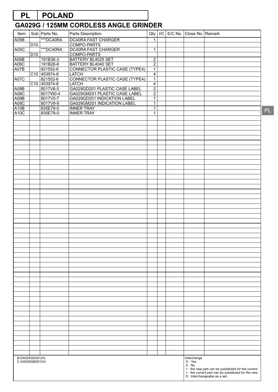# **PL POLAND**

| Item                |                  | Sub   Parts No.      | Parts Description                                            | Qty                              |  | I/C   E/C No.   Close No.   Remark |                                                                                       |
|---------------------|------------------|----------------------|--------------------------------------------------------------|----------------------------------|--|------------------------------------|---------------------------------------------------------------------------------------|
| A05B                |                  | ***DC40RA            | <b>DC40RA FAST CHARGER</b>                                   | $\mathbf{1}$                     |  |                                    |                                                                                       |
|                     | $\overline{D10}$ |                      | <b>COMPO-PARTS</b>                                           |                                  |  |                                    |                                                                                       |
| A05C                |                  | <b>***DC40RA</b>     | <b>DC40RA FAST CHARGER</b>                                   | $\mathbf{1}$                     |  |                                    |                                                                                       |
|                     | D10              |                      | <b>COMPO-PARTS</b>                                           |                                  |  |                                    |                                                                                       |
| A06B<br>A06C        |                  | 191B36-3<br>191B26-6 | <b>BATTERY BL4025 SET</b><br><b>BATTERY BL4040 SET</b>       | $\overline{2}$<br>$\overline{2}$ |  |                                    |                                                                                       |
| A07B                |                  | 821552-6             | <b>CONNECTOR PLASTIC CASE (TYPE4)</b>                        | $\overline{1}$                   |  |                                    |                                                                                       |
|                     |                  | C10 453974-8         | <b>LATCH</b>                                                 | 4                                |  |                                    |                                                                                       |
| A07C                |                  | 821552-6             | <b>CONNECTOR PLASTIC CASE (TYPE4)</b>                        | $\overline{1}$                   |  |                                    |                                                                                       |
|                     |                  | C10 453974-8         | <b>LATCH</b>                                                 | $\overline{4}$                   |  |                                    |                                                                                       |
| A08B                |                  | 8017V6-5             | GA029GD201 PLASTIC CASE LABEL                                | $\overline{2}$                   |  |                                    |                                                                                       |
| <b>A08C</b><br>A09B |                  | 8017W0-4<br>8017V5-7 | GA029GM201 PLASTIC CASE LABEL<br>GA029GD201 INDICATION LABEL | $\overline{2}$<br>$\mathbf{1}$   |  |                                    |                                                                                       |
| A09C                |                  | 8017V9-9             | GA029GM201 INDICATION LABEL                                  | $\mathbf{1}$                     |  |                                    |                                                                                       |
| A <sub>10</sub> B   |                  | 835E79-0             | <b>INNER TRAY</b>                                            | $\mathbf{1}$                     |  |                                    |                                                                                       |
| A <sub>10</sub> C   |                  | 835E79-0             | <b>INNER TRAY</b>                                            | $\mathbf{1}$                     |  |                                    |                                                                                       |
|                     |                  |                      |                                                              |                                  |  |                                    |                                                                                       |
|                     |                  |                      |                                                              |                                  |  |                                    |                                                                                       |
|                     |                  |                      |                                                              |                                  |  |                                    |                                                                                       |
|                     |                  |                      |                                                              |                                  |  |                                    |                                                                                       |
|                     |                  |                      |                                                              |                                  |  |                                    |                                                                                       |
|                     |                  |                      |                                                              |                                  |  |                                    |                                                                                       |
|                     |                  |                      |                                                              |                                  |  |                                    |                                                                                       |
|                     |                  |                      |                                                              |                                  |  |                                    |                                                                                       |
|                     |                  |                      |                                                              |                                  |  |                                    |                                                                                       |
|                     |                  |                      |                                                              |                                  |  |                                    |                                                                                       |
|                     |                  |                      |                                                              |                                  |  |                                    |                                                                                       |
|                     |                  |                      |                                                              |                                  |  |                                    |                                                                                       |
|                     |                  |                      |                                                              |                                  |  |                                    |                                                                                       |
|                     |                  |                      |                                                              |                                  |  |                                    |                                                                                       |
|                     |                  |                      |                                                              |                                  |  |                                    |                                                                                       |
|                     |                  |                      |                                                              |                                  |  |                                    |                                                                                       |
|                     |                  |                      |                                                              |                                  |  |                                    |                                                                                       |
|                     |                  |                      |                                                              |                                  |  |                                    |                                                                                       |
|                     |                  |                      |                                                              |                                  |  |                                    |                                                                                       |
|                     |                  |                      |                                                              |                                  |  |                                    |                                                                                       |
|                     |                  |                      |                                                              |                                  |  |                                    |                                                                                       |
|                     |                  |                      |                                                              |                                  |  |                                    |                                                                                       |
|                     |                  |                      |                                                              |                                  |  |                                    |                                                                                       |
|                     |                  |                      |                                                              |                                  |  |                                    |                                                                                       |
|                     |                  |                      |                                                              |                                  |  |                                    |                                                                                       |
|                     |                  |                      |                                                              |                                  |  |                                    |                                                                                       |
|                     |                  |                      |                                                              |                                  |  |                                    |                                                                                       |
|                     |                  |                      |                                                              |                                  |  |                                    |                                                                                       |
|                     |                  |                      |                                                              |                                  |  |                                    |                                                                                       |
|                     |                  |                      |                                                              |                                  |  |                                    |                                                                                       |
|                     |                  |                      |                                                              |                                  |  |                                    |                                                                                       |
|                     |                  |                      |                                                              |                                  |  |                                    |                                                                                       |
|                     |                  |                      |                                                              |                                  |  |                                    |                                                                                       |
|                     |                  |                      |                                                              |                                  |  |                                    |                                                                                       |
|                     |                  |                      |                                                              |                                  |  |                                    |                                                                                       |
|                     |                  |                      |                                                              |                                  |  |                                    |                                                                                       |
|                     |                  |                      |                                                              |                                  |  |                                    |                                                                                       |
|                     |                  |                      |                                                              |                                  |  |                                    |                                                                                       |
|                     |                  |                      |                                                              |                                  |  |                                    |                                                                                       |
|                     |                  |                      |                                                              |                                  |  |                                    |                                                                                       |
|                     |                  |                      |                                                              |                                  |  |                                    |                                                                                       |
|                     |                  |                      |                                                              |                                  |  |                                    |                                                                                       |
| B:GA029GD201(H)     |                  |                      |                                                              |                                  |  | Interchange                        |                                                                                       |
| C:GA029GM201(H)     |                  |                      |                                                              |                                  |  | O: Yes<br>X: No                    |                                                                                       |
|                     |                  |                      |                                                              |                                  |  |                                    | < : the new part can be substituted for the current.                                  |
|                     |                  |                      |                                                              |                                  |  |                                    | > : the current part can be substituted for the new.<br>S : Interchangeable as a set. |
|                     |                  |                      |                                                              |                                  |  |                                    |                                                                                       |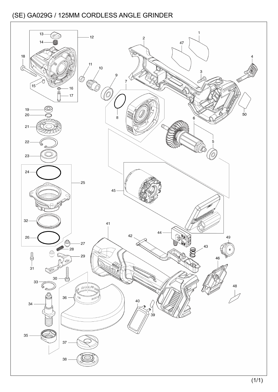![](_page_28_Figure_1.jpeg)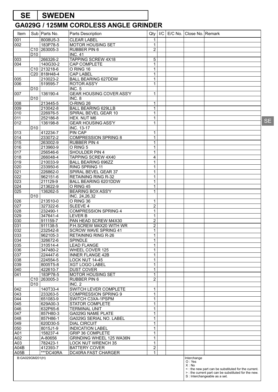# **SE SWEDEN**

| Item             |                 | Sub   Parts No.                      | Parts Description                                     | Qty                        | /C | E/C No.   Close No.   Remark |                                                                                       |    |
|------------------|-----------------|--------------------------------------|-------------------------------------------------------|----------------------------|----|------------------------------|---------------------------------------------------------------------------------------|----|
| 001              |                 | 8008U5-3                             | <b>CLEAR LABEL</b>                                    | 1                          |    |                              |                                                                                       |    |
| 002              |                 | 183P78-5                             | <b>MOTOR HOUSING SET</b>                              | 1                          |    |                              |                                                                                       |    |
|                  |                 | C <sub>10</sub> 263005-3             | <b>RUBBER PIN 6</b>                                   | $\overline{c}$             |    |                              |                                                                                       |    |
|                  | D <sub>10</sub> |                                      | <b>INC. 41</b>                                        |                            |    |                              |                                                                                       |    |
| 003<br>004       |                 | 266326-2                             | <b>TAPPING SCREW 4X18</b>                             | 5                          |    |                              |                                                                                       |    |
|                  |                 | 140G30-2<br>C <sub>10</sub> 213218-6 | CAP COMPLETE<br>O RING 16                             | 1<br>1                     |    |                              |                                                                                       |    |
|                  |                 | C20 818H48-4                         | <b>CAP LABEL</b>                                      | 1                          |    |                              |                                                                                       |    |
| 005              |                 | 210023-2                             | <b>BALL BEARING 627DDW</b>                            | 1                          |    |                              |                                                                                       |    |
| 006              |                 | 519595-7                             | <b>ROTOR ASS'Y</b>                                    | 1                          |    |                              |                                                                                       |    |
|                  | D <sub>10</sub> |                                      | INC. 5                                                |                            |    |                              |                                                                                       |    |
| 007              |                 | 136190-4                             | <b>GEAR HOUSING COVER ASS'Y</b>                       | 1                          |    |                              |                                                                                       |    |
|                  | D <sub>10</sub> |                                      | INC. 8                                                |                            |    |                              |                                                                                       |    |
| 008              |                 | 213445-5                             | O-RING 26                                             | 1                          |    |                              |                                                                                       |    |
| 009              |                 | 210042-8                             | <b>BALL BEARING 629LLB</b>                            | 1                          |    |                              |                                                                                       |    |
| 010              |                 | 226976-5                             | SPIRAL BEVEL GEAR 10                                  | 1                          |    |                              |                                                                                       |    |
| 011<br>012       |                 | 252186-8<br>136198-8                 | HEX. NUT M6<br><b>GEAR HOUSING ASS'Y</b>              | 1<br>1                     |    |                              |                                                                                       | SE |
|                  | D <sub>10</sub> |                                      | INC. 13-17                                            |                            |    |                              |                                                                                       |    |
| 013              |                 | 412234-7                             | <b>PIN CAP</b>                                        | 1                          |    |                              |                                                                                       |    |
| 014              |                 | 233072-2                             | <b>COMPRESSION SPRING 8</b>                           | 1                          |    |                              |                                                                                       |    |
| 015              |                 | 263002-9                             | <b>RUBBER PIN 4</b>                                   | 1                          |    |                              |                                                                                       |    |
| 016              |                 | 213960-9                             | O RING 5                                              | 1                          |    |                              |                                                                                       |    |
| 017              |                 | 256546-6                             | SHOULDER PIN 4                                        | $\mathbf{1}$               |    |                              |                                                                                       |    |
| 018              |                 | 266048-4                             | TAPPING SCREW 4X40                                    | 4                          |    |                              |                                                                                       |    |
| 019              |                 | 210033-9                             | <b>BALL BEARING 696ZZ</b>                             | 1                          |    |                              |                                                                                       |    |
| 020              |                 | 233950-6                             | RING SPRING 11                                        | 1                          |    |                              |                                                                                       |    |
| 021              |                 | 226862-0                             | SPIRAL BEVEL GEAR 37                                  | 1                          |    |                              |                                                                                       |    |
| 022<br>023       |                 | 962151-6<br>211129-9                 | <b>RETAINING RING R-32</b><br>BALL BEARING 6201DDW    | 1<br>1                     |    |                              |                                                                                       |    |
| 024              |                 | 213622-9                             | O RING 45                                             | 1                          |    |                              |                                                                                       |    |
| $\overline{025}$ |                 | 136262-5                             | <b>BEARING BOX ASS'Y</b>                              | $\mathbf{1}$               |    |                              |                                                                                       |    |
|                  | D <sub>10</sub> |                                      | $\overline{\text{INC. 24,26}}$ , 32                   |                            |    |                              |                                                                                       |    |
| 026              |                 | 213510-0                             | O RING 36                                             | 1                          |    |                              |                                                                                       |    |
| 027              |                 | 327322-6                             | SLEEVE 4                                              | $\overline{2}$             |    |                              |                                                                                       |    |
| 028              |                 | 232490-1                             | <b>COMPRESSION SPRING 4</b>                           | $\mathbf 1$                |    |                              |                                                                                       |    |
| 029              |                 | 347641-4                             | <b>LEVER B</b>                                        | 1                          |    |                              |                                                                                       |    |
| 030              |                 | 911159-7                             | PAN HEAD SCREW M4X30                                  | $\overline{2}$             |    |                              |                                                                                       |    |
| 031              |                 | 911138-5                             | P.H.SCREW M4X20 WITH WR                               | $\overline{2}$             |    |                              |                                                                                       |    |
| 032              |                 | 232542-8                             | <b>SCROW WAVE SPRING 41</b>                           | $\mathbf{1}$               |    |                              |                                                                                       |    |
| 033<br>034       |                 | 962105-3<br>326672-6                 | <b>RETAINING RING R-26</b><br><b>SPINDLE</b>          | $\mathbf{1}$               |    |                              |                                                                                       |    |
| 035              |                 | 310514-4                             | <b>LEAD FLANGE</b>                                    | 1<br>1                     |    |                              |                                                                                       |    |
| 036              |                 | 347480-2                             | WHEEL COVER 125                                       | 1                          |    |                              |                                                                                       |    |
| 037              |                 | 224447-6                             | <b>INNER FLANGE 42B</b>                               | 1                          |    |                              |                                                                                       |    |
| 038              |                 | 224554-5                             | LOCK NUT 14-45                                        | $\mathbf 1$                |    |                              |                                                                                       |    |
| 039              |                 | 8005T5-8                             | <b>XGT LOGO LABEL</b>                                 | 1                          |    |                              |                                                                                       |    |
| 040              |                 | 422610-7                             | <b>DUST COVER</b>                                     | 1                          |    |                              |                                                                                       |    |
| 041              |                 | 183P78-5                             | MOTOR HOUSING SET                                     | 1                          |    |                              |                                                                                       |    |
|                  |                 | C10 263005-3                         | RUBBER PIN 6                                          | $\overline{c}$             |    |                              |                                                                                       |    |
| 042              | D <sub>10</sub> | 140T33-4                             | INC. 2<br>SWITCH LEVER COMPLETE                       | 1                          |    |                              |                                                                                       |    |
| 043              |                 | 233263-5                             | <b>COMPRESSION SPRING 9</b>                           | 1                          |    |                              |                                                                                       |    |
| 044              |                 | 651083-9                             | SWITCH C3XA-1PSPM                                     | $\mathbf 1$                |    |                              |                                                                                       |    |
| 045              |                 | 629A00-3                             | STATOR COMPLETE                                       | 1                          |    |                              |                                                                                       |    |
| 046              |                 | 632P65-6                             | <b>TERMINAL UNIT</b>                                  | 1                          |    |                              |                                                                                       |    |
| 047              |                 | 857H80-3                             | GA029G NAME PLATE                                     | 1                          |    |                              |                                                                                       |    |
| 048              |                 | 857H86-1                             | GA029G SERIAL NO. LABEL                               | 1                          |    |                              |                                                                                       |    |
| 049              |                 | 620D30-5                             | <b>DIAL CIRCUIT</b>                                   | 1                          |    |                              |                                                                                       |    |
| 050              |                 | 8015J1-9                             | <b>INDICATION LABEL</b>                               | 1                          |    |                              |                                                                                       |    |
| A01              |                 | 158237-4                             | <b>GRIP 36 COMPLETE</b>                               | 1                          |    |                              |                                                                                       |    |
| A02<br>A03       |                 | A-80656<br>782423-1                  | GRINDING WHEEL 125 WA36N<br><b>LOCK NUT WRENCH 35</b> | $\mathbf 1$<br>$\mathbf 1$ |    |                              |                                                                                       |    |
| A04B             |                 | 412393-7                             | <b>BATTERY COVER</b>                                  | $\overline{2}$             |    |                              |                                                                                       |    |
| A05B             |                 | ***DC40RA                            | DC40RA FAST CHARGER                                   | $\mathbf{1}$               |    |                              |                                                                                       |    |
| B:GA029GM201(H)  |                 |                                      |                                                       |                            |    | Interchange                  |                                                                                       |    |
|                  |                 |                                      |                                                       |                            |    | O: Yes<br>$X:$ No            |                                                                                       |    |
|                  |                 |                                      |                                                       |                            |    |                              | <: the new part can be substituted for the current.                                   |    |
|                  |                 |                                      |                                                       |                            |    |                              | > : the current part can be substituted for the new.<br>S : Interchangeable as a set. |    |
|                  |                 |                                      |                                                       |                            |    |                              |                                                                                       |    |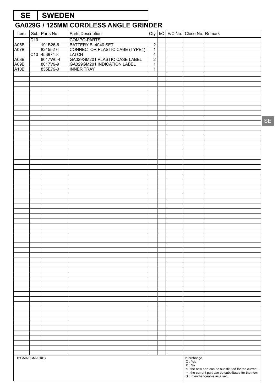# **SE SWEDEN**

| Item            |     | Sub Parts No.            | Parts Description                                    | Qty                              |  | I/C E/C No. Close No. Remark |                                                                                                                                              |
|-----------------|-----|--------------------------|------------------------------------------------------|----------------------------------|--|------------------------------|----------------------------------------------------------------------------------------------------------------------------------------------|
|                 | D10 |                          | COMPO-PARTS                                          |                                  |  |                              |                                                                                                                                              |
| A06B            |     | 191B26-6                 | BATTERY BL4040 SET<br>CONNECTOR PLASTIC CASE (TYPE4) | $\overline{2}$                   |  |                              |                                                                                                                                              |
| A07B            |     | 821552-6                 |                                                      | $\overline{1}$<br>$\overline{4}$ |  |                              |                                                                                                                                              |
| A08B            |     | C10 453974-8<br>8017W0-4 | LATCH<br> GA029GM201 PLASTIC CASE LABEL              | $\overline{2}$                   |  |                              |                                                                                                                                              |
| A09B            |     | 8017V9-9                 | GA029GM201 INDICATION LABEL                          | $\overline{1}$                   |  |                              |                                                                                                                                              |
| A10B            |     | 835E79-0                 | <b>INNER TRAY</b>                                    | $\overline{1}$                   |  |                              |                                                                                                                                              |
|                 |     |                          |                                                      |                                  |  |                              |                                                                                                                                              |
|                 |     |                          |                                                      |                                  |  |                              |                                                                                                                                              |
|                 |     |                          |                                                      |                                  |  |                              |                                                                                                                                              |
|                 |     |                          |                                                      |                                  |  |                              |                                                                                                                                              |
|                 |     |                          |                                                      |                                  |  |                              |                                                                                                                                              |
|                 |     |                          |                                                      |                                  |  |                              |                                                                                                                                              |
|                 |     |                          |                                                      |                                  |  |                              |                                                                                                                                              |
|                 |     |                          |                                                      |                                  |  |                              |                                                                                                                                              |
|                 |     |                          |                                                      |                                  |  |                              |                                                                                                                                              |
|                 |     |                          |                                                      |                                  |  |                              |                                                                                                                                              |
|                 |     |                          |                                                      |                                  |  |                              |                                                                                                                                              |
|                 |     |                          |                                                      |                                  |  |                              |                                                                                                                                              |
|                 |     |                          |                                                      |                                  |  |                              |                                                                                                                                              |
|                 |     |                          |                                                      |                                  |  |                              |                                                                                                                                              |
|                 |     |                          |                                                      |                                  |  |                              |                                                                                                                                              |
|                 |     |                          |                                                      |                                  |  |                              |                                                                                                                                              |
|                 |     |                          |                                                      |                                  |  |                              |                                                                                                                                              |
|                 |     |                          |                                                      |                                  |  |                              |                                                                                                                                              |
|                 |     |                          |                                                      |                                  |  |                              |                                                                                                                                              |
|                 |     |                          |                                                      |                                  |  |                              |                                                                                                                                              |
|                 |     |                          |                                                      |                                  |  |                              |                                                                                                                                              |
|                 |     |                          |                                                      |                                  |  |                              |                                                                                                                                              |
|                 |     |                          |                                                      |                                  |  |                              |                                                                                                                                              |
|                 |     |                          |                                                      |                                  |  |                              |                                                                                                                                              |
|                 |     |                          |                                                      |                                  |  |                              |                                                                                                                                              |
|                 |     |                          |                                                      |                                  |  |                              |                                                                                                                                              |
|                 |     |                          |                                                      |                                  |  |                              |                                                                                                                                              |
|                 |     |                          |                                                      |                                  |  |                              |                                                                                                                                              |
|                 |     |                          |                                                      |                                  |  |                              |                                                                                                                                              |
|                 |     |                          |                                                      |                                  |  |                              |                                                                                                                                              |
|                 |     |                          |                                                      |                                  |  |                              |                                                                                                                                              |
|                 |     |                          |                                                      |                                  |  |                              |                                                                                                                                              |
|                 |     |                          |                                                      |                                  |  |                              |                                                                                                                                              |
|                 |     |                          |                                                      |                                  |  |                              |                                                                                                                                              |
|                 |     |                          |                                                      |                                  |  |                              |                                                                                                                                              |
|                 |     |                          |                                                      |                                  |  |                              |                                                                                                                                              |
|                 |     |                          |                                                      |                                  |  |                              |                                                                                                                                              |
|                 |     |                          |                                                      |                                  |  |                              |                                                                                                                                              |
|                 |     |                          |                                                      |                                  |  |                              |                                                                                                                                              |
|                 |     |                          |                                                      |                                  |  |                              |                                                                                                                                              |
|                 |     |                          |                                                      |                                  |  |                              |                                                                                                                                              |
|                 |     |                          |                                                      |                                  |  |                              |                                                                                                                                              |
|                 |     |                          |                                                      |                                  |  |                              |                                                                                                                                              |
|                 |     |                          |                                                      |                                  |  |                              |                                                                                                                                              |
|                 |     |                          |                                                      |                                  |  |                              |                                                                                                                                              |
|                 |     |                          |                                                      |                                  |  |                              |                                                                                                                                              |
|                 |     |                          |                                                      |                                  |  |                              |                                                                                                                                              |
| B:GA029GM201(H) |     |                          |                                                      |                                  |  | Interchange<br>O : Yes       |                                                                                                                                              |
|                 |     |                          |                                                      |                                  |  | X : No                       |                                                                                                                                              |
|                 |     |                          |                                                      |                                  |  |                              |                                                                                                                                              |
|                 |     |                          |                                                      |                                  |  |                              | x: the new part can be substituted for the current.<br>> : the current part can be substituted for the new.<br>S : Interchangeable as a set. |
|                 |     |                          |                                                      |                                  |  |                              |                                                                                                                                              |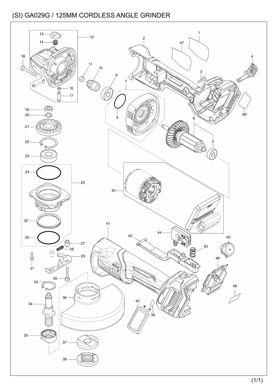![](_page_31_Figure_1.jpeg)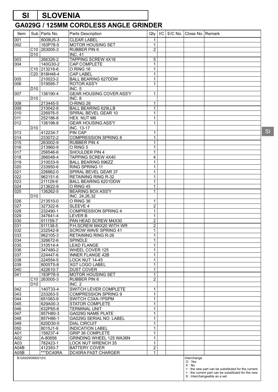# **SI SLOVENIA**

#### **GA029G / 125MM CORDLESS ANGLE GRINDER**

| Item                    |                 | Sub   Parts No.          | Parts Description                                         | Qty               | I/C | E/C No. | Close No. Remark               |                                                                                                                                             |
|-------------------------|-----------------|--------------------------|-----------------------------------------------------------|-------------------|-----|---------|--------------------------------|---------------------------------------------------------------------------------------------------------------------------------------------|
| 001                     |                 | 8008U5-3                 | <b>CLEAR LABEL</b>                                        | 1                 |     |         |                                |                                                                                                                                             |
| 002                     |                 | 183P78-5                 | <b>MOTOR HOUSING SET</b>                                  | 1                 |     |         |                                |                                                                                                                                             |
|                         |                 | C10 263005-3             | RUBBER PIN 6                                              | $\overline{c}$    |     |         |                                |                                                                                                                                             |
|                         | D <sub>10</sub> |                          | <b>INC. 41</b>                                            |                   |     |         |                                |                                                                                                                                             |
| 003                     |                 | 266326-2                 | <b>TAPPING SCREW 4X18</b>                                 | 5                 |     |         |                                |                                                                                                                                             |
| 004                     |                 | 140G30-2                 | <b>CAP COMPLETE</b>                                       | 1                 |     |         |                                |                                                                                                                                             |
|                         |                 | C <sub>10</sub> 213218-6 | O RING 16                                                 | $\mathbf{1}$      |     |         |                                |                                                                                                                                             |
|                         |                 | C20 818H48-4             | <b>CAP LABEL</b>                                          | $\mathbf{1}$      |     |         |                                |                                                                                                                                             |
| 005<br>006              |                 | 210023-2<br>519595-7     | <b>BALL BEARING 627DDW</b><br><b>ROTOR ASS'Y</b>          | $\mathbf{1}$<br>1 |     |         |                                |                                                                                                                                             |
|                         | D <sub>10</sub> |                          | <b>INC. 5</b>                                             |                   |     |         |                                |                                                                                                                                             |
| 007                     |                 | 136190-4                 | GEAR HOUSING COVER ASS'Y                                  | $\mathbf{1}$      |     |         |                                |                                                                                                                                             |
|                         | D <sub>10</sub> |                          | INC. 8                                                    |                   |     |         |                                |                                                                                                                                             |
| 008                     |                 | 213445-5                 | O-RING 26                                                 | 1                 |     |         |                                |                                                                                                                                             |
| 009                     |                 | 210042-8                 | <b>BALL BEARING 629LLB</b>                                | $\mathbf{1}$      |     |         |                                |                                                                                                                                             |
| 010                     |                 | 226976-5                 | SPIRAL BEVEL GEAR 10                                      | $\mathbf{1}$      |     |         |                                |                                                                                                                                             |
| 011                     |                 | 252186-8                 | HEX. NUT M6                                               | $\mathbf{1}$      |     |         |                                |                                                                                                                                             |
| 012                     |                 | 136198-8                 | <b>GEAR HOUSING ASS'Y</b>                                 | 1                 |     |         |                                |                                                                                                                                             |
|                         | D <sub>10</sub> |                          | <b>INC. 13-17</b>                                         |                   |     |         |                                |                                                                                                                                             |
| 013                     |                 | 412234-7                 | <b>PIN CAP</b>                                            | $\mathbf{1}$      |     |         |                                |                                                                                                                                             |
| 014                     |                 | 233072-2                 | <b>COMPRESSION SPRING 8</b>                               | $\mathbf{1}$      |     |         |                                |                                                                                                                                             |
| 015                     |                 | 263002-9                 | <b>RUBBER PIN 4</b>                                       | 1                 |     |         |                                |                                                                                                                                             |
| 016                     |                 | 213960-9                 | O RING 5                                                  | $\mathbf{1}$      |     |         |                                |                                                                                                                                             |
| 017                     |                 | 256546-6                 | SHOULDER PIN 4                                            | $\mathbf{1}$      |     |         |                                |                                                                                                                                             |
| $\overline{018}$        |                 | 266048-4                 | TAPPING SCREW 4X40                                        | 4                 |     |         |                                |                                                                                                                                             |
| $\overline{019}$        |                 | 210033-9                 | <b>BALL BEARING 696ZZ</b>                                 | 1                 |     |         |                                |                                                                                                                                             |
| 020                     |                 | 233950-6                 | RING SPRING 11                                            | $\mathbf{1}$      |     |         |                                |                                                                                                                                             |
| $\overline{021}$        |                 | 226862-0                 | SPIRAL BEVEL GEAR 37                                      | 1                 |     |         |                                |                                                                                                                                             |
| $\overline{022}$<br>023 |                 | 962151-6<br>211129-9     | <b>RETAINING RING R-32</b><br><b>BALL BEARING 6201DDW</b> | $\mathbf{1}$      |     |         |                                |                                                                                                                                             |
| 024                     |                 | 213622-9                 | O RING 45                                                 | 1<br>$\mathbf{1}$ |     |         |                                |                                                                                                                                             |
| $\overline{025}$        |                 | 136262-5                 | <b>BEARING BOX ASS'Y</b>                                  | $\mathbf{1}$      |     |         |                                |                                                                                                                                             |
|                         | D <sub>10</sub> |                          | INC. 24,26,32                                             |                   |     |         |                                |                                                                                                                                             |
| 026                     |                 | 213510-0                 | O RING 36                                                 | 1                 |     |         |                                |                                                                                                                                             |
| 027                     |                 | 327322-6                 | SLEEVE 4                                                  | $\overline{c}$    |     |         |                                |                                                                                                                                             |
| $\overline{028}$        |                 | 232490-1                 | <b>COMPRESSION SPRING 4</b>                               | $\overline{1}$    |     |         |                                |                                                                                                                                             |
| 029                     |                 | 347641-4                 | <b>LEVER B</b>                                            | $\mathbf{1}$      |     |         |                                |                                                                                                                                             |
| 030                     |                 | $911159 - 7$             | PAN HEAD SCREW M4X30                                      | 2                 |     |         |                                |                                                                                                                                             |
| 031                     |                 | $\overline{91}$ 1138-5   | P.H.SCREW M4X20 WITH WR                                   | $\boldsymbol{2}$  |     |         |                                |                                                                                                                                             |
| 032                     |                 | 232542-8                 | <b>SCROW WAVE SPRING 41</b>                               | $\mathbf{1}$      |     |         |                                |                                                                                                                                             |
| 033                     |                 | 962105-3                 | <b>RETAINING RING R-26</b>                                | $\mathbf{1}$      |     |         |                                |                                                                                                                                             |
| 034                     |                 | 326672-6                 | SPINDLE                                                   | 1                 |     |         |                                |                                                                                                                                             |
| 035                     |                 | 310514-4                 | <b>LEAD FLANGE</b>                                        | $\mathbf{1}$      |     |         |                                |                                                                                                                                             |
| 036                     |                 | 347480-2                 | WHEEL COVER 125                                           | 1                 |     |         |                                |                                                                                                                                             |
| 037                     |                 | 224447-6                 | <b>INNER FLANGE 42B</b>                                   | $\mathbf{1}$      |     |         |                                |                                                                                                                                             |
| 038                     |                 | 224554-5                 | LOCK NUT 14-45                                            | 1                 |     |         |                                |                                                                                                                                             |
| 039                     |                 | 8005T5-8                 | <b>XGT LOGO LABEL</b>                                     | $\mathbf{1}$      |     |         |                                |                                                                                                                                             |
| 040                     |                 | 422610-7                 | <b>DUST COVER</b>                                         | $\mathbf{1}$      |     |         |                                |                                                                                                                                             |
| 041                     |                 | 183P78-5                 | <b>MOTOR HOUSING SET</b>                                  | $\mathbf{1}$      |     |         |                                |                                                                                                                                             |
|                         |                 | C <sub>10</sub> 263005-3 | <b>RUBBER PIN 6</b>                                       | $\overline{c}$    |     |         |                                |                                                                                                                                             |
| 042                     | D <sub>10</sub> | 140T33-4                 | <b>INC. 2</b><br>SWITCH LEVER COMPLETE                    | 1                 |     |         |                                |                                                                                                                                             |
| 043                     |                 | 233263-5                 | <b>COMPRESSION SPRING 9</b>                               | $\mathbf{1}$      |     |         |                                |                                                                                                                                             |
| 044                     |                 | 651083-9                 | SWITCH C3XA-1PSPM                                         | 1                 |     |         |                                |                                                                                                                                             |
| 045                     |                 | 629A00-3                 | <b>STATOR COMPLETE</b>                                    | $\mathbf{1}$      |     |         |                                |                                                                                                                                             |
| 046                     |                 | 632P65-6                 | <b>TERMINAL UNIT</b>                                      | 1                 |     |         |                                |                                                                                                                                             |
| 047                     |                 | 857H80-3                 | GA029G NAME PLATE                                         | $\mathbf{1}$      |     |         |                                |                                                                                                                                             |
| 048                     |                 | 857H86-1                 | GA029G SERIAL NO. LABEL                                   | 1                 |     |         |                                |                                                                                                                                             |
| 049                     |                 | 620D30-5                 | <b>DIAL CIRCUIT</b>                                       | $\mathbf{1}$      |     |         |                                |                                                                                                                                             |
| 050                     |                 | 8015J1-9                 | <b>INDICATION LABEL</b>                                   | 1                 |     |         |                                |                                                                                                                                             |
| A01                     |                 | 158237-4                 | <b>GRIP 36 COMPLETE</b>                                   | $\mathbf{1}$      |     |         |                                |                                                                                                                                             |
| A02                     |                 | A-80656                  | GRINDING WHEEL 125 WA36N                                  | 1                 |     |         |                                |                                                                                                                                             |
| A03                     |                 | 782423-1                 | <b>LOCK NUT WRENCH 35</b>                                 | $\mathbf{1}$      |     |         |                                |                                                                                                                                             |
| A04B                    |                 | 412393-7                 | <b>BATTERY COVER</b>                                      | $\overline{2}$    |     |         |                                |                                                                                                                                             |
| A05B                    |                 | ***DC40RA                | DC40RA FAST CHARGER                                       | $\mathbf{1}$      |     |         |                                |                                                                                                                                             |
| B:GA029GM201(H)         |                 |                          |                                                           |                   |     |         | Interchange<br>O: Yes<br>X: No |                                                                                                                                             |
|                         |                 |                          |                                                           |                   |     |         |                                | <: the new part can be substituted for the current.<br>>: the current part can be substituted for the new.<br>S : Interchangeable as a set. |

SI